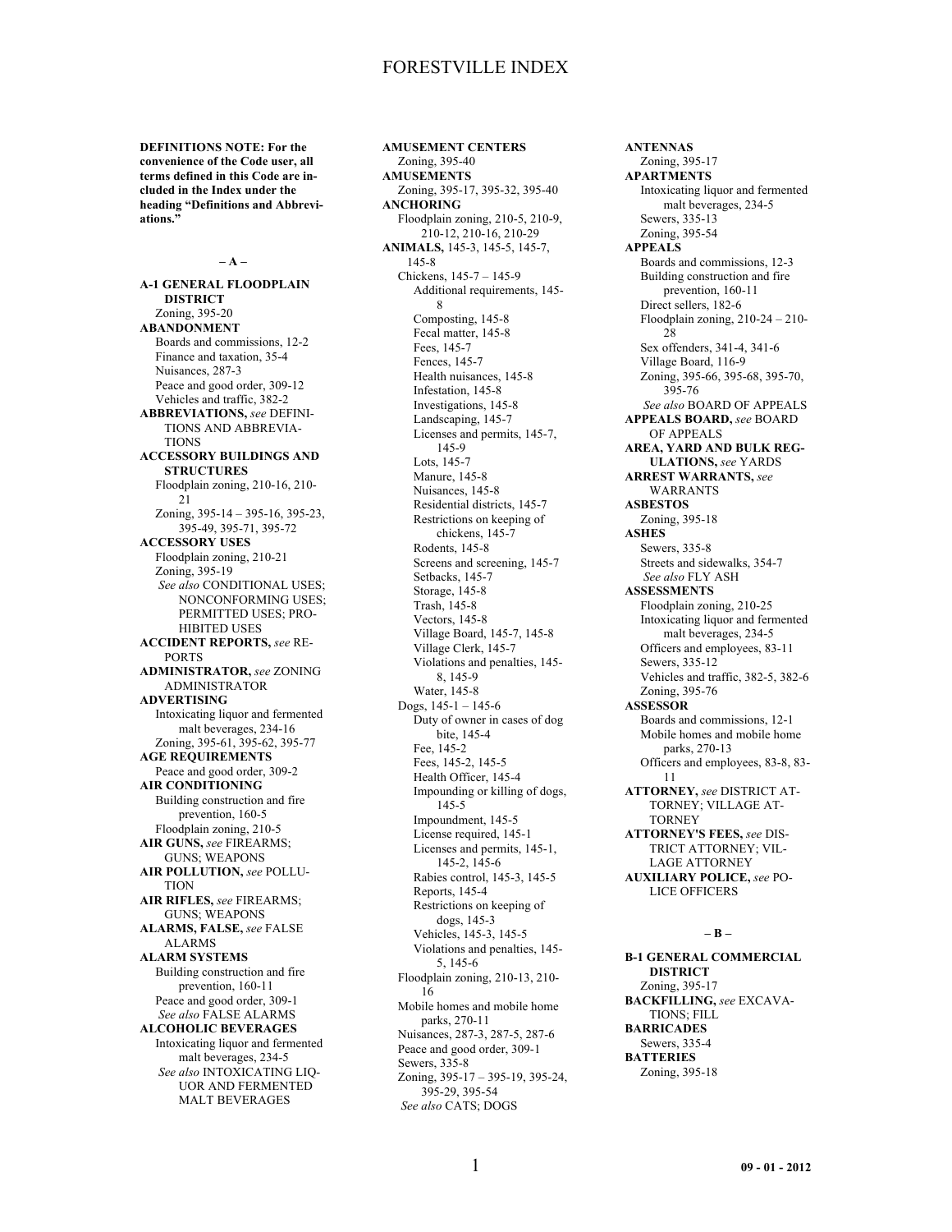**DEFINITIONS NOTE: For the convenience of the Code user, all terms defined in this Code are included in the Index under the heading "Definitions and Abbreviations."**

### **– A –**

**A-1 GENERAL FLOODPLAIN DISTRICT** Zoning, 395-20 **ABANDONMENT** Boards and commissions, 12-2 Finance and taxation, 35-4 Nuisances, 287-3 Peace and good order, 309-12 Vehicles and traffic, 382-2 **ABBREVIATIONS,** *see* DEFINI-TIONS AND ABBREVIA-**TIONS ACCESSORY BUILDINGS AND STRUCTURES** Floodplain zoning, 210-16, 210- 21 Zoning, 395-14 – 395-16, 395-23, 395-49, 395-71, 395-72 **ACCESSORY USES** Floodplain zoning, 210-21 Zoning, 395-19 *See also* CONDITIONAL USES; NONCONFORMING USES; PERMITTED USES; PRO-HIBITED USES **ACCIDENT REPORTS,** *see* RE-PORTS **ADMINISTRATOR,** *see* ZONING ADMINISTRATOR **ADVERTISING** Intoxicating liquor and fermented malt beverages, 234-16 Zoning, 395-61, 395-62, 395-77 **AGE REQUIREMENTS** Peace and good order, 309-2 **AIR CONDITIONING** Building construction and fire prevention, 160-5 Floodplain zoning, 210-5 **AIR GUNS,** *see* FIREARMS; GUNS; WEAPONS **AIR POLLUTION,** *see* POLLU-**TION AIR RIFLES,** *see* FIREARMS; GUNS; WEAPONS **ALARMS, FALSE,** *see* FALSE ALARMS **ALARM SYSTEMS** Building construction and fire prevention, 160-11 Peace and good order, 309-1 *See also* FALSE ALARMS **ALCOHOLIC BEVERAGES** Intoxicating liquor and fermented malt beverages, 234-5 *See also* INTOXICATING LIQ-UOR AND FERMENTED MALT BEVERAGES

**AMUSEMENT CENTERS** Zoning, 395-40 **AMUSEMENTS** Zoning, 395-17, 395-32, 395-40 **ANCHORING** Floodplain zoning, 210-5, 210-9, 210-12, 210-16, 210-29 **ANIMALS,** 145-3, 145-5, 145-7, 145-8 Chickens, 145-7 – 145-9 Additional requirements, 145- 8 Composting, 145-8 Fecal matter, 145-8 Fees, 145-7 Fences, 145-7 Health nuisances, 145-8 Infestation, 145-8 Investigations, 145-8 Landscaping, 145-7 Licenses and permits, 145-7, 145-9 Lots, 145-7 Manure, 145-8 Nuisances, 145-8 Residential districts, 145-7 Restrictions on keeping of chickens, 145-7 Rodents, 145-8 Screens and screening, 145-7 Setbacks, 145-7 Storage, 145-8 Trash, 145-8 Vectors, 145-8 Village Board, 145-7, 145-8 Village Clerk, 145-7 Violations and penalties, 145- 8, 145-9 Water, 145-8 Dogs,  $145-1 - 145-6$ Duty of owner in cases of dog bite, 145-4 Fee, 145-2 Fees, 145-2, 145-5 Health Officer, 145-4 Impounding or killing of dogs, 145-5 Impoundment, 145-5 License required, 145-1 Licenses and permits, 145-1, 145-2, 145-6 Rabies control, 145-3, 145-5 Reports, 145-4 Restrictions on keeping of dogs, 145-3 Vehicles, 145-3, 145-5 Violations and penalties, 145- 5, 145-6 Floodplain zoning, 210-13, 210- 16 Mobile homes and mobile home parks, 270-11 Nuisances, 287-3, 287-5, 287-6 Peace and good order, 309-1 Sewers, 335-8 Zoning, 395-17 – 395-19, 395-24, 395-29, 395-54 *See also* CATS; DOGS

**ANTENNAS** Zoning, 395-17 **APARTMENTS** Intoxicating liquor and fermented malt beverages, 234-5 Sewers, 335-13 Zoning, 395-54 **APPEALS** Boards and commissions, 12-3 Building construction and fire prevention, 160-11 Direct sellers, 182-6 Floodplain zoning, 210-24 – 210-  $28$ Sex offenders, 341-4, 341-6 Village Board, 116-9 Zoning, 395-66, 395-68, 395-70, 395-76 *See also* BOARD OF APPEALS **APPEALS BOARD,** *see* BOARD OF APPEALS **AREA, YARD AND BULK REG-ULATIONS,** *see* YARDS **ARREST WARRANTS,** *see* WARRANTS **ASBESTOS** Zoning, 395-18 **ASHES** Sewers, 335-8 Streets and sidewalks, 354-7 *See also* FLY ASH **ASSESSMENTS** Floodplain zoning, 210-25 Intoxicating liquor and fermented malt beverages, 234-5 Officers and employees, 83-11 Sewers, 335-12 Vehicles and traffic, 382-5, 382-6 Zoning, 395-76 **ASSESSOR** Boards and commissions, 12-1 Mobile homes and mobile home parks, 270-13 Officers and employees, 83-8, 83- 11 **ATTORNEY,** *see* DISTRICT AT-TORNEY; VILLAGE AT-**TORNEY ATTORNEY'S FEES,** *see* DIS-TRICT ATTORNEY; VIL-LAGE ATTORNEY **AUXILIARY POLICE,** *see* PO-LICE OFFICERS

### **– B –**

**B-1 GENERAL COMMERCIAL DISTRICT** Zoning, 395-17 **BACKFILLING,** *see* EXCAVA-TIONS; FILL **BARRICADES** Sewers, 335-4 **BATTERIES** Zoning, 395-18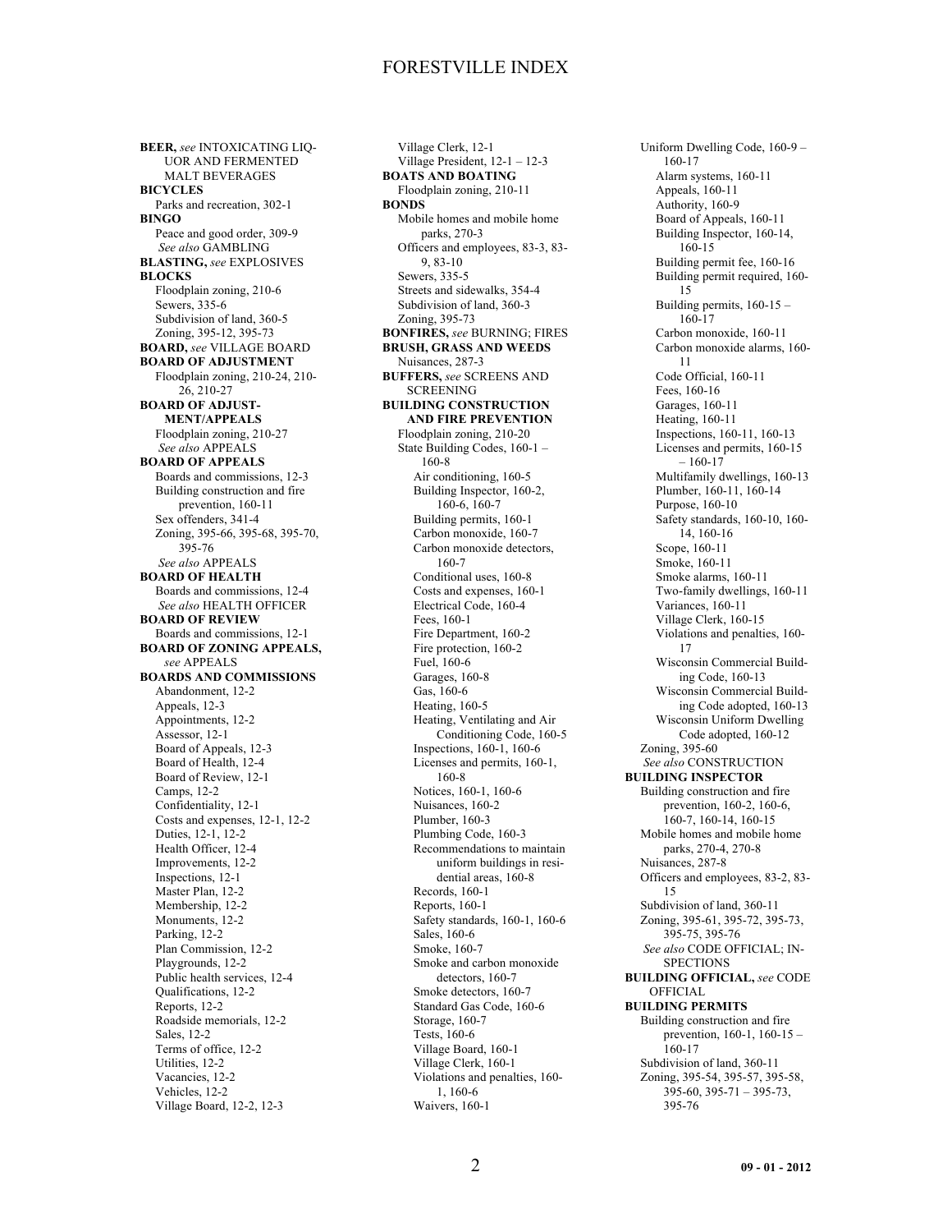**BEER,** *see* INTOXICATING LIQ-UOR AND FERMENTED MALT BEVERAGES **BICYCLES** Parks and recreation, 302-1 **BINGO** Peace and good order, 309-9 *See also* GAMBLING **BLASTING,** *see* EXPLOSIVES **BLOCKS** Floodplain zoning, 210-6 Sewers, 335-6 Subdivision of land, 360-5 Zoning, 395-12, 395-73 **BOARD,** *see* VILLAGE BOARD **BOARD OF ADJUSTMENT** Floodplain zoning, 210-24, 210- 26, 210-27 **BOARD OF ADJUST-MENT/APPEALS** Floodplain zoning, 210-27 *See also* APPEALS **BOARD OF APPEALS** Boards and commissions, 12-3 Building construction and fire prevention, 160-11 Sex offenders, 341-4 Zoning, 395-66, 395-68, 395-70, 395-76 *See also* APPEALS **BOARD OF HEALTH** Boards and commissions, 12-4 *See also* HEALTH OFFICER **BOARD OF REVIEW** Boards and commissions, 12-1 **BOARD OF ZONING APPEALS,** *see* APPEALS **BOARDS AND COMMISSIONS** Abandonment, 12-2 Appeals, 12-3 Appointments, 12-2 Assessor, 12-1 Board of Appeals, 12-3 Board of Health, 12-4 Board of Review, 12-1 Camps, 12-2 Confidentiality, 12-1 Costs and expenses, 12-1, 12-2 Duties, 12-1, 12-2 Health Officer, 12-4 Improvements, 12-2 Inspections, 12-1 Master Plan, 12-2 Membership, 12-2 Monuments, 12-2 Parking, 12-2 Plan Commission, 12-2 Playgrounds, 12-2 Public health services, 12-4 Qualifications, 12-2 Reports, 12-2 Roadside memorials, 12-2 Sales, 12-2 Terms of office, 12-2 Utilities, 12-2 Vacancies, 12-2 Vehicles, 12-2 Village Board, 12-2, 12-3

Village Clerk, 12-1 Village President, 12-1 – 12-3 **BOATS AND BOATING** Floodplain zoning, 210-11 **BONDS** Mobile homes and mobile home parks, 270-3 Officers and employees, 83-3, 83- 9, 83-10 Sewers, 335-5 Streets and sidewalks, 354-4 Subdivision of land, 360-3 Zoning, 395-73 **BONFIRES,** *see* BURNING; FIRES **BRUSH, GRASS AND WEEDS** Nuisances, 287-3 **BUFFERS,** *see* SCREENS AND SCREENING **BUILDING CONSTRUCTION AND FIRE PREVENTION** Floodplain zoning, 210-20 State Building Codes, 160-1 – 160-8 Air conditioning, 160-5 Building Inspector, 160-2, 160-6, 160-7 Building permits, 160-1 Carbon monoxide, 160-7 Carbon monoxide detectors, 160-7 Conditional uses, 160-8 Costs and expenses, 160-1 Electrical Code, 160-4 Fees, 160-1 Fire Department, 160-2 Fire protection, 160-2 Fuel, 160-6 Garages, 160-8 Gas, 160-6 Heating, 160-5 Heating, Ventilating and Air Conditioning Code, 160-5 Inspections, 160-1, 160-6 Licenses and permits, 160-1, 160-8 Notices, 160-1, 160-6 Nuisances, 160-2 Plumber, 160-3 Plumbing Code, 160-3 Recommendations to maintain uniform buildings in residential areas, 160-8 Records, 160-1 Reports, 160-1 Safety standards, 160-1, 160-6 Sales, 160-6 Smoke, 160-7 Smoke and carbon monoxide detectors, 160-7 Smoke detectors, 160-7 Standard Gas Code, 160-6 Storage, 160-7 Tests, 160-6 Village Board, 160-1 Village Clerk, 160-1 Violations and penalties, 160- 1, 160-6 Waivers, 160-1

Uniform Dwelling Code, 160-9 – 160-17 Alarm systems, 160-11 Appeals, 160-11 Authority, 160-9 Board of Appeals, 160-11 Building Inspector, 160-14, 160-15 Building permit fee, 160-16 Building permit required, 160- 15 Building permits, 160-15 – 160-17 Carbon monoxide, 160-11 Carbon monoxide alarms, 160- 11 Code Official, 160-11 Fees, 160-16 Garages, 160-11 Heating, 160-11 Inspections, 160-11, 160-13 Licenses and permits, 160-15  $-160-17$ Multifamily dwellings, 160-13 Plumber, 160-11, 160-14 Purpose, 160-10 Safety standards, 160-10, 160- 14, 160-16 Scope, 160-11 Smoke, 160-11 Smoke alarms, 160-11 Two-family dwellings, 160-11 Variances, 160-11 Village Clerk, 160-15 Violations and penalties, 160- 17 Wisconsin Commercial Building Code, 160-13 Wisconsin Commercial Building Code adopted, 160-13 Wisconsin Uniform Dwelling Code adopted, 160-12 Zoning, 395-60 *See also* CONSTRUCTION **BUILDING INSPECTOR** Building construction and fire prevention, 160-2, 160-6, 160-7, 160-14, 160-15 Mobile homes and mobile home parks, 270-4, 270-8 Nuisances, 287-8 Officers and employees, 83-2, 83- 15 Subdivision of land, 360-11 Zoning, 395-61, 395-72, 395-73, 395-75, 395-76 *See also* CODE OFFICIAL; IN-**SPECTIONS BUILDING OFFICIAL,** *see* CODE OFFICIAL **BUILDING PERMITS** Building construction and fire prevention, 160-1, 160-15 – 160-17 Subdivision of land, 360-11 Zoning, 395-54, 395-57, 395-58, 395-60, 395-71 – 395-73, 395-76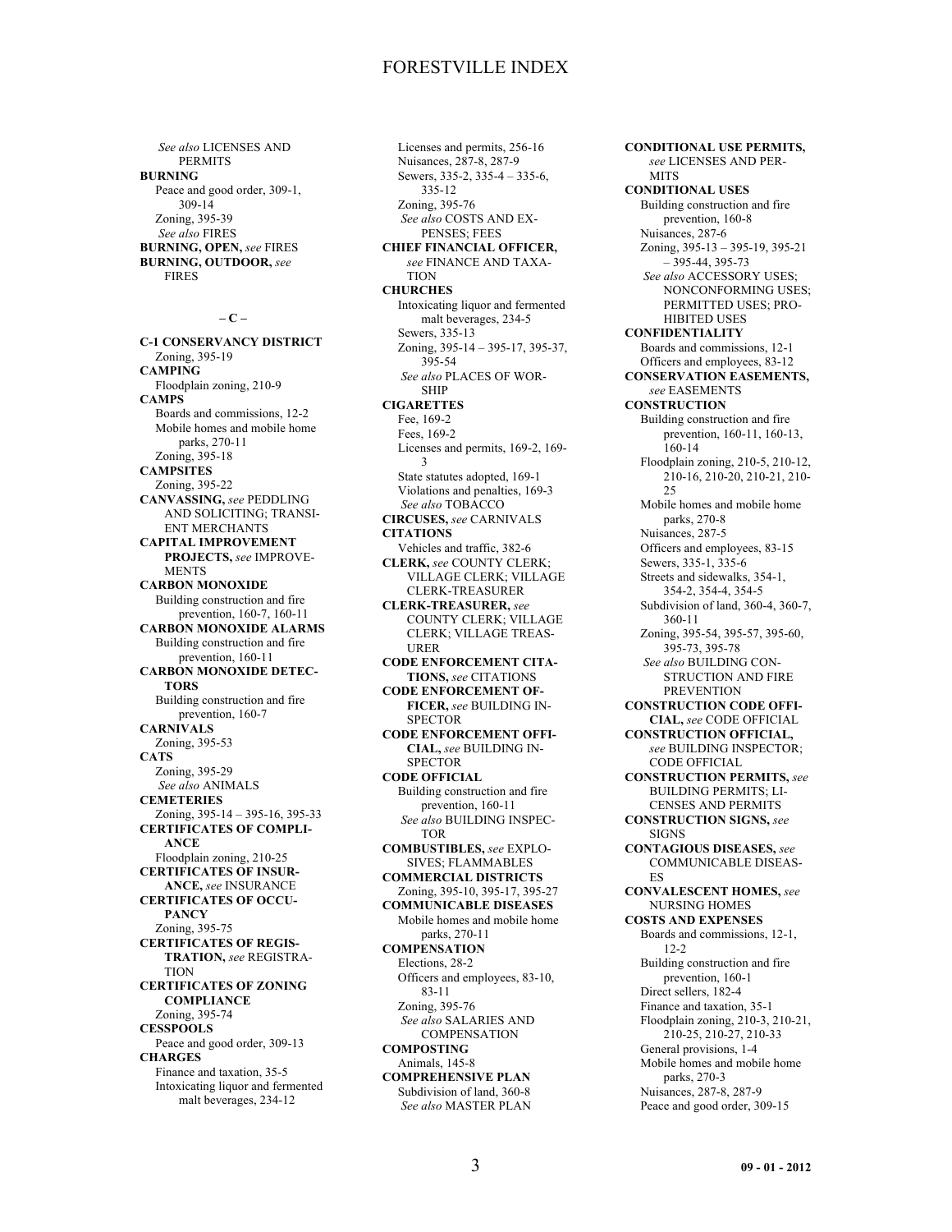*See also* LICENSES AND PERMITS **BURNING** Peace and good order, 309-1, 309-14 Zoning, 395-39 *See also* FIRES **BURNING, OPEN,** *see* FIRES **BURNING, OUTDOOR,** *see* FIRES

**– C –**

**C-1 CONSERVANCY DISTRICT** Zoning, 395-19 **CAMPING** Floodplain zoning, 210-9 **CAMPS** Boards and commissions, 12-2 Mobile homes and mobile home parks, 270-11 Zoning, 395-18 **CAMPSITES** Zoning, 395-22 **CANVASSING,** *see* PEDDLING AND SOLICITING; TRANSI-ENT MERCHANTS **CAPITAL IMPROVEMENT PROJECTS,** *see* IMPROVE-**MENTS CARBON MONOXIDE** Building construction and fire prevention, 160-7, 160-11 **CARBON MONOXIDE ALARMS** Building construction and fire prevention, 160-11 **CARBON MONOXIDE DETEC-TORS** Building construction and fire prevention, 160-7 **CARNIVALS** Zoning, 395-53 **CATS** Zoning, 395-29 *See also* ANIMALS **CEMETERIES** Zoning, 395-14 – 395-16, 395-33 **CERTIFICATES OF COMPLI-ANCE** Floodplain zoning, 210-25 **CERTIFICATES OF INSUR-ANCE,** *see* INSURANCE **CERTIFICATES OF OCCU-PANCY** Zoning, 395-75 **CERTIFICATES OF REGIS-TRATION,** *see* REGISTRA-**TION CERTIFICATES OF ZONING COMPLIANCE** Zoning, 395-74 **CESSPOOLS** Peace and good order, 309-13 **CHARGES** Finance and taxation, 35-5 Intoxicating liquor and fermented malt beverages, 234-12

Licenses and permits, 256-16 Nuisances, 287-8, 287-9 Sewers, 335-2, 335-4 – 335-6, 335-12 Zoning, 395-76 *See also* COSTS AND EX-PENSES; FEES **CHIEF FINANCIAL OFFICER,** *see* FINANCE AND TAXA-TION **CHURCHES** Intoxicating liquor and fermented malt beverages, 234-5 Sewers, 335-13 Zoning, 395-14 – 395-17, 395-37, 395-54 *See also* PLACES OF WOR-SHIP **CIGARETTES** Fee, 169-2 Fees, 169-2 Licenses and permits, 169-2, 169- 3 State statutes adopted, 169-1 Violations and penalties, 169-3 *See also* TOBACCO **CIRCUSES,** *see* CARNIVALS **CITATIONS** Vehicles and traffic, 382-6 **CLERK,** *see* COUNTY CLERK; VILLAGE CLERK; VILLAGE CLERK-TREASURER **CLERK-TREASURER,** *see* COUNTY CLERK; VILLAGE CLERK; VILLAGE TREAS-URER **CODE ENFORCEMENT CITA-TIONS,** *see* CITATIONS **CODE ENFORCEMENT OF-FICER,** *see* BUILDING IN-**SPECTOR CODE ENFORCEMENT OFFI-CIAL,** *see* BUILDING IN-**SPECTOR CODE OFFICIAL** Building construction and fire prevention, 160-11 *See also* BUILDING INSPEC-TOR **COMBUSTIBLES,** *see* EXPLO-SIVES; FLAMMABLES **COMMERCIAL DISTRICTS** Zoning, 395-10, 395-17, 395-27 **COMMUNICABLE DISEASES** Mobile homes and mobile home parks, 270-11 **COMPENSATION** Elections, 28-2 Officers and employees, 83-10, 83-11 Zoning, 395-76 *See also* SALARIES AND **COMPENSATION COMPOSTING** Animals, 145-8 **COMPREHENSIVE PLAN** Subdivision of land, 360-8 *See also* MASTER PLAN

**CONDITIONAL USE PERMITS,** *see* LICENSES AND PER-**MITS CONDITIONAL USES** Building construction and fire prevention, 160-8 Nuisances, 287-6 Zoning, 395-13 – 395-19, 395-21 – 395-44, 395-73 *See also* ACCESSORY USES; NONCONFORMING USES; PERMITTED USES; PRO-HIBITED USES **CONFIDENTIALITY** Boards and commissions, 12-1 Officers and employees, 83-12 **CONSERVATION EASEMENTS,** *see* EASEMENTS **CONSTRUCTION** Building construction and fire prevention, 160-11, 160-13, 160-14 Floodplain zoning, 210-5, 210-12, 210-16, 210-20, 210-21, 210-  $25$ Mobile homes and mobile home parks, 270-8 Nuisances, 287-5 Officers and employees, 83-15 Sewers, 335-1, 335-6 Streets and sidewalks, 354-1, 354-2, 354-4, 354-5 Subdivision of land, 360-4, 360-7, 360-11 Zoning, 395-54, 395-57, 395-60, 395-73, 395-78 *See also* BUILDING CON-STRUCTION AND FIRE PREVENTION **CONSTRUCTION CODE OFFI-CIAL,** *see* CODE OFFICIAL **CONSTRUCTION OFFICIAL,** *see* BUILDING INSPECTOR; CODE OFFICIAL **CONSTRUCTION PERMITS,** *see* BUILDING PERMITS; LI-CENSES AND PERMITS **CONSTRUCTION SIGNS,** *see* SIGNS **CONTAGIOUS DISEASES,** *see* COMMUNICABLE DISEAS-ES **CONVALESCENT HOMES,** *see* NURSING HOMES **COSTS AND EXPENSES** Boards and commissions, 12-1, 12-2 Building construction and fire prevention, 160-1 Direct sellers, 182-4 Finance and taxation, 35-1 Floodplain zoning, 210-3, 210-21, 210-25, 210-27, 210-33 General provisions, 1-4 Mobile homes and mobile home parks, 270-3 Nuisances, 287-8, 287-9

Peace and good order, 309-15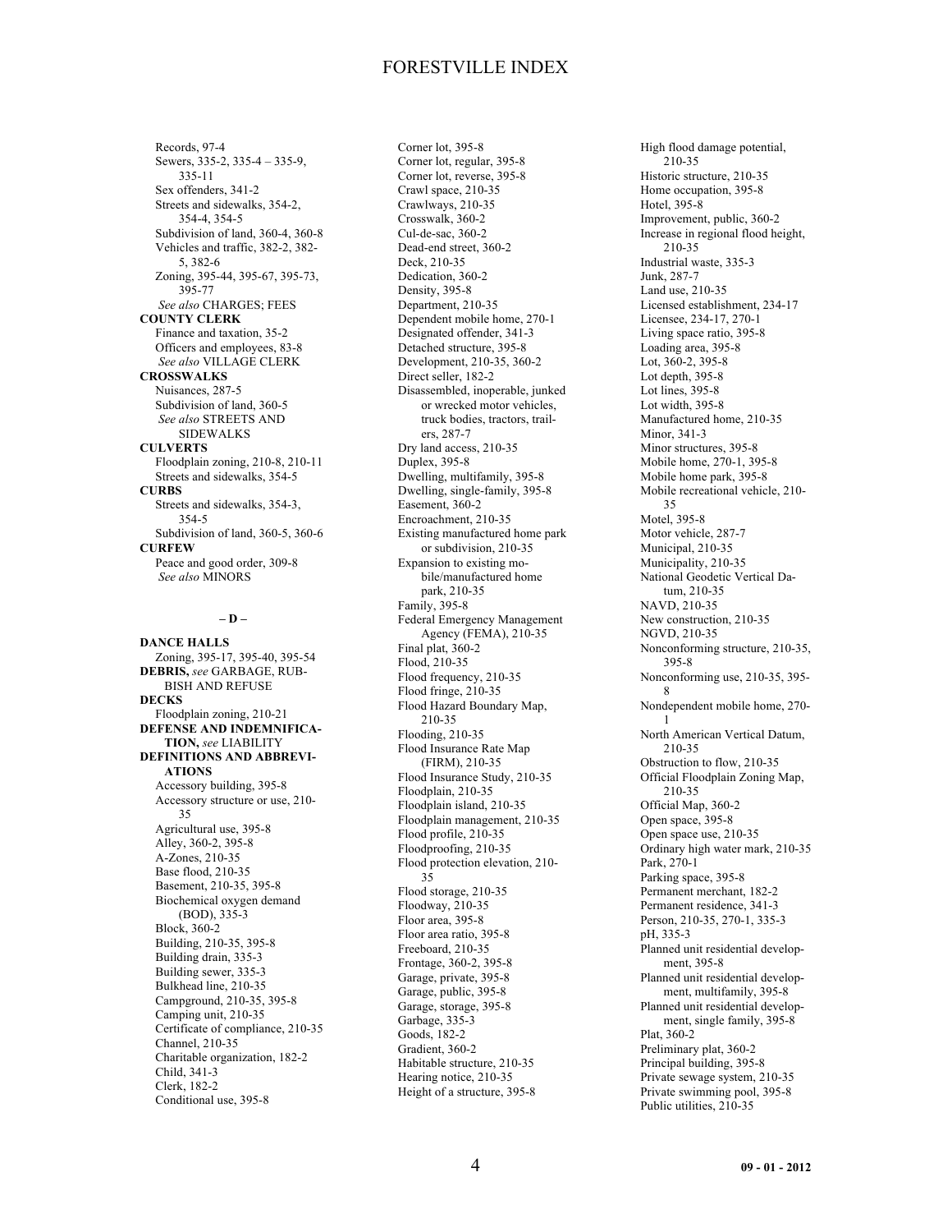Records, 97-4 Sewers, 335-2, 335-4 – 335-9, 335-11 Sex offenders, 341-2 Streets and sidewalks, 354-2, 354-4, 354-5 Subdivision of land, 360-4, 360-8 Vehicles and traffic, 382-2, 382- 5, 382-6 Zoning, 395-44, 395-67, 395-73, 395-77 *See also* CHARGES; FEES **COUNTY CLERK** Finance and taxation, 35-2 Officers and employees, 83-8 *See also* VILLAGE CLERK **CROSSWALKS** Nuisances, 287-5 Subdivision of land, 360-5 *See also* STREETS AND SIDEWALKS **CULVERTS** Floodplain zoning, 210-8, 210-11 Streets and sidewalks, 354-5 **CURBS** Streets and sidewalks, 354-3, 354-5 Subdivision of land, 360-5, 360-6 **CURFEW** Peace and good order, 309-8 *See also* MINORS

**– D –**

**DANCE HALLS** Zoning, 395-17, 395-40, 395-54 **DEBRIS,** *see* GARBAGE, RUB-BISH AND REFUSE **DECKS** Floodplain zoning, 210-21 **DEFENSE AND INDEMNIFICA-TION,** *see* LIABILITY **DEFINITIONS AND ABBREVI-ATIONS** Accessory building, 395-8 Accessory structure or use, 210- 35 Agricultural use, 395-8 Alley, 360-2, 395-8 A-Zones, 210-35 Base flood, 210-35 Basement, 210-35, 395-8 Biochemical oxygen demand (BOD), 335-3 Block, 360-2 Building, 210-35, 395-8 Building drain, 335-3 Building sewer, 335-3 Bulkhead line, 210-35 Campground, 210-35, 395-8 Camping unit, 210-35 Certificate of compliance, 210-35 Channel, 210-35 Charitable organization, 182-2 Child, 341-3 Clerk, 182-2 Conditional use, 395-8

Corner lot, 395-8 Corner lot, regular, 395-8 Corner lot, reverse, 395-8 Crawl space, 210-35 Crawlways, 210-35 Crosswalk, 360-2 Cul-de-sac, 360-2 Dead-end street, 360-2 Deck, 210-35 Dedication, 360-2 Density, 395-8 Department, 210-35 Dependent mobile home, 270-1 Designated offender, 341-3 Detached structure, 395-8 Development, 210-35, 360-2 Direct seller, 182-2 Disassembled, inoperable, junked or wrecked motor vehicles, truck bodies, tractors, trailers, 287-7 Dry land access, 210-35 Duplex, 395-8 Dwelling, multifamily, 395-8 Dwelling, single-family, 395-8 Easement, 360-2 Encroachment, 210-35 Existing manufactured home park or subdivision, 210-35 Expansion to existing mobile/manufactured home park, 210-35 Family, 395-8 Federal Emergency Management Agency (FEMA), 210-35 Final plat, 360-2 Flood, 210-35 Flood frequency, 210-35 Flood fringe, 210-35 Flood Hazard Boundary Map, 210-35 Flooding, 210-35 Flood Insurance Rate Map (FIRM), 210-35 Flood Insurance Study, 210-35 Floodplain, 210-35 Floodplain island, 210-35 Floodplain management, 210-35 Flood profile, 210-35 Floodproofing, 210-35 Flood protection elevation, 210- 35 Flood storage, 210-35 Floodway, 210-35 Floor area, 395-8 Floor area ratio, 395-8 Freeboard, 210-35 Frontage, 360-2, 395-8 Garage, private, 395-8 Garage, public, 395-8 Garage, storage, 395-8 Garbage, 335-3 Goods, 182-2 Gradient, 360-2 Habitable structure, 210-35 Hearing notice, 210-35 Height of a structure, 395-8

High flood damage potential, 210-35 Historic structure, 210-35 Home occupation, 395-8 Hotel, 395-8 Improvement, public, 360-2 Increase in regional flood height, 210-35 Industrial waste, 335-3 Junk, 287-7 Land use, 210-35 Licensed establishment, 234-17 Licensee, 234-17, 270-1 Living space ratio, 395-8 Loading area, 395-8 Lot, 360-2, 395-8 Lot depth, 395-8 Lot lines, 395-8 Lot width, 395-8 Manufactured home, 210-35 Minor, 341-3 Minor structures, 395-8 Mobile home, 270-1, 395-8 Mobile home park, 395-8 Mobile recreational vehicle, 210- 35 Motel, 395-8 Motor vehicle, 287-7 Municipal, 210-35 Municipality, 210-35 National Geodetic Vertical Datum, 210-35 NAVD, 210-35 New construction, 210-35 NGVD, 210-35 Nonconforming structure, 210-35, 395-8 Nonconforming use, 210-35, 395- 8 Nondependent mobile home, 270- 1 North American Vertical Datum, 210-35 Obstruction to flow, 210-35 Official Floodplain Zoning Map, 210-35 Official Map, 360-2 Open space, 395-8 Open space use, 210-35 Ordinary high water mark, 210-35 Park, 270-1 Parking space, 395-8 Permanent merchant, 182-2 Permanent residence, 341-3 Person, 210-35, 270-1, 335-3 pH, 335-3 Planned unit residential development, 395-8 Planned unit residential development, multifamily, 395-8 Planned unit residential development, single family, 395-8 Plat, 360-2 Preliminary plat, 360-2 Principal building, 395-8 Private sewage system, 210-35 Private swimming pool, 395-8 Public utilities, 210-35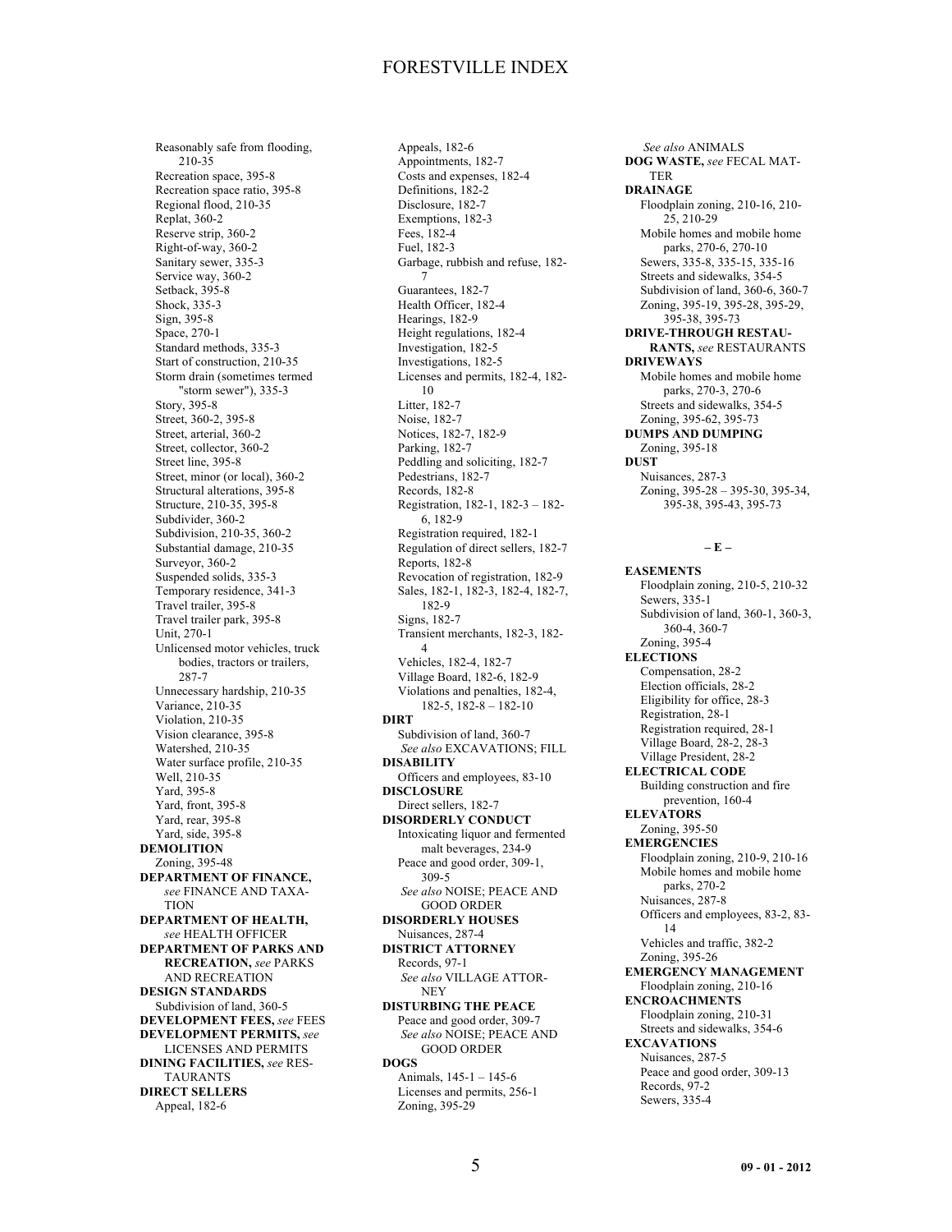Reasonably safe from flooding, 210-35 Recreation space, 395-8 Recreation space ratio, 395-8 Regional flood, 210-35 Replat, 360-2 Reserve strip, 360-2 Right-of-way, 360-2 Sanitary sewer, 335-3 Service way, 360-2 Setback, 395-8 Shock, 335-3 Sign, 395-8 Space, 270-1 Standard methods, 335-3 Start of construction, 210-35 Storm drain (sometimes termed "storm sewer"), 335-3 Story, 395-8 Street, 360-2, 395-8 Street, arterial, 360-2 Street, collector, 360-2 Street line, 395-8 Street, minor (or local), 360-2 Structural alterations, 395-8 Structure, 210-35, 395-8 Subdivider, 360-2 Subdivision, 210-35, 360-2 Substantial damage, 210-35 Surveyor, 360-2 Suspended solids, 335-3 Temporary residence, 341-3 Travel trailer, 395-8 Travel trailer park, 395-8 Unit, 270-1 Unlicensed motor vehicles, truck bodies, tractors or trailers, 287-7 Unnecessary hardship, 210-35 Variance, 210-35 Violation, 210-35 Vision clearance, 395-8 Watershed, 210-35 Water surface profile, 210-35 Well, 210-35 Yard, 395-8 Yard, front, 395-8 Yard, rear, 395-8 Yard, side, 395-8 **DEMOLITION** Zoning, 395-48 **DEPARTMENT OF FINANCE,** *see* FINANCE AND TAXA-**TION DEPARTMENT OF HEALTH,** *see* HEALTH OFFICER **DEPARTMENT OF PARKS AND RECREATION,** *see* PARKS AND RECREATION **DESIGN STANDARDS** Subdivision of land, 360-5 **DEVELOPMENT FEES,** *see* FEES **DEVELOPMENT PERMITS,** *see* LICENSES AND PERMITS **DINING FACILITIES,** *see* RES-**TAURANTS DIRECT SELLERS** Appeal, 182-6

Appeals, 182-6 Appointments, 182-7 Costs and expenses, 182-4 Definitions, 182-2 Disclosure, 182-7 Exemptions, 182-3 Fees, 182-4 Fuel, 182-3 Garbage, rubbish and refuse, 182- 7 Guarantees, 182-7 Health Officer, 182-4 Hearings, 182-9 Height regulations, 182-4 Investigation, 182-5 Investigations, 182-5 Licenses and permits, 182-4, 182- 10 Litter, 182-7 Noise, 182-7 Notices, 182-7, 182-9 Parking, 182-7 Peddling and soliciting, 182-7 Pedestrians, 182-7 Records, 182-8 Registration, 182-1, 182-3 – 182- 6, 182-9 Registration required, 182-1 Regulation of direct sellers, 182-7 Reports, 182-8 Revocation of registration, 182-9 Sales, 182-1, 182-3, 182-4, 182-7, 182-9 Signs, 182-7 Transient merchants, 182-3, 182- 4 Vehicles, 182-4, 182-7 Village Board, 182-6, 182-9 Violations and penalties, 182-4, 182-5, 182-8 – 182-10 **DIRT** Subdivision of land, 360-7 *See also* EXCAVATIONS; FILL **DISABILITY** Officers and employees, 83-10 **DISCLOSURE** Direct sellers, 182-7 **DISORDERLY CONDUCT** Intoxicating liquor and fermented malt beverages, 234-9 Peace and good order, 309-1, 309-5 *See also* NOISE; PEACE AND GOOD ORDER **DISORDERLY HOUSES** Nuisances, 287-4 **DISTRICT ATTORNEY** Records, 97-1 *See also* VILLAGE ATTOR-**NEY DISTURBING THE PEACE** Peace and good order, 309-7 *See also* NOISE; PEACE AND GOOD ORDER **DOGS** Animals, 145-1 – 145-6 Licenses and permits, 256-1 Zoning, 395-29

*See also* ANIMALS **DOG WASTE,** *see* FECAL MAT-TER **DRAINAGE** Floodplain zoning, 210-16, 210- 25, 210-29 Mobile homes and mobile home parks, 270-6, 270-10 Sewers, 335-8, 335-15, 335-16 Streets and sidewalks, 354-5 Subdivision of land, 360-6, 360-7 Zoning, 395-19, 395-28, 395-29, 395-38, 395-73 **DRIVE-THROUGH RESTAU-RANTS,** *see* RESTAURANTS **DRIVEWAYS** Mobile homes and mobile home parks, 270-3, 270-6 Streets and sidewalks, 354-5 Zoning, 395-62, 395-73 **DUMPS AND DUMPING** Zoning, 395-18 **DUST** Nuisances, 287-3 Zoning, 395-28 – 395-30, 395-34, 395-38, 395-43, 395-73

### **– E –**

**EASEMENTS** Floodplain zoning, 210-5, 210-32 Sewers, 335-1 Subdivision of land, 360-1, 360-3, 360-4, 360-7 Zoning, 395-4 **ELECTIONS** Compensation, 28-2 Election officials, 28-2 Eligibility for office, 28-3 Registration, 28-1 Registration required, 28-1 Village Board, 28-2, 28-3 Village President, 28-2 **ELECTRICAL CODE** Building construction and fire prevention, 160-4 **ELEVATORS** Zoning, 395-50 **EMERGENCIES** Floodplain zoning, 210-9, 210-16 Mobile homes and mobile home parks, 270-2 Nuisances, 287-8 Officers and employees, 83-2, 83- 14 Vehicles and traffic, 382-2 Zoning, 395-26 **EMERGENCY MANAGEMENT** Floodplain zoning, 210-16 **ENCROACHMENTS** Floodplain zoning, 210-31 Streets and sidewalks, 354-6 **EXCAVATIONS** Nuisances, 287-5 Peace and good order, 309-13 Records, 97-2 Sewers, 335-4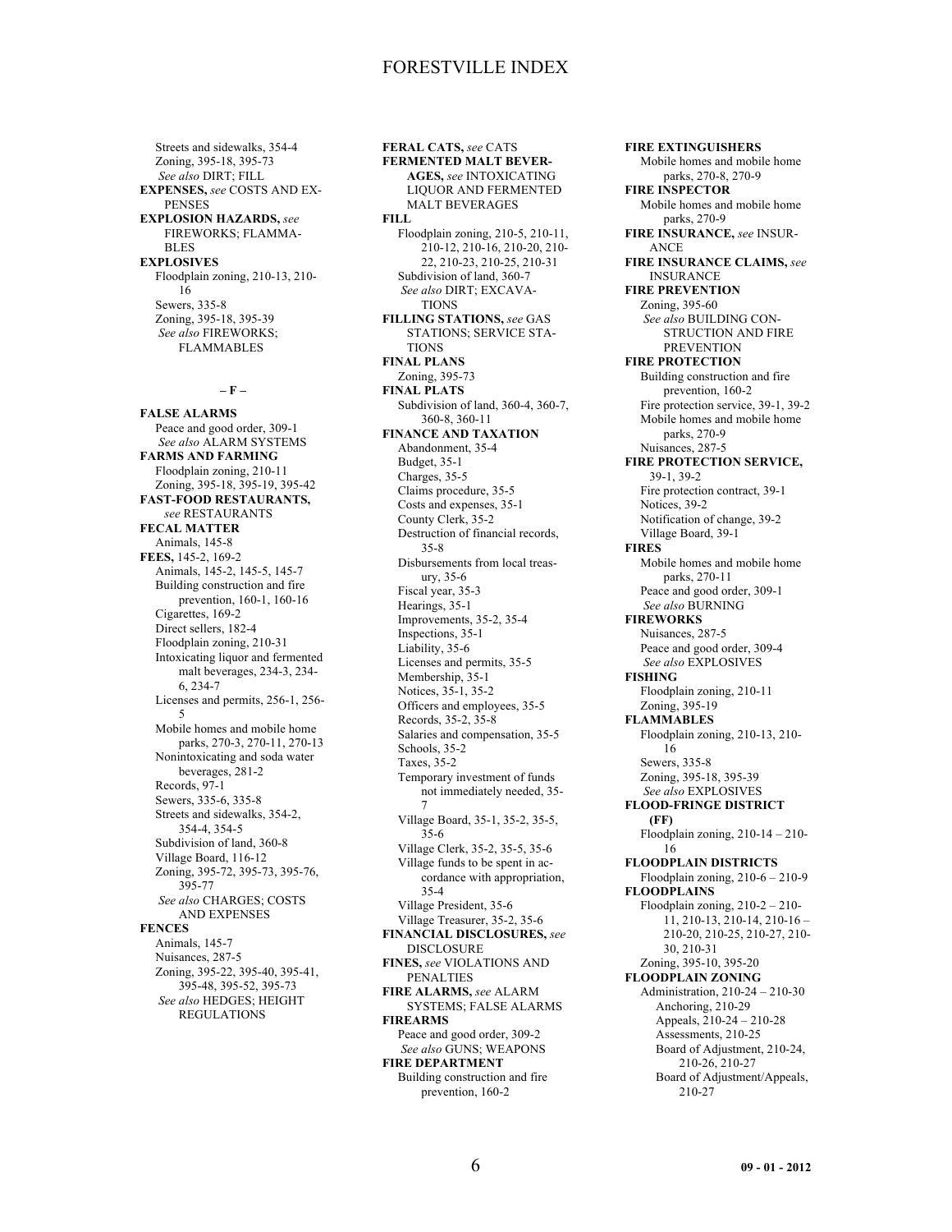Streets and sidewalks, 354-4 Zoning, 395-18, 395-73 *See also* DIRT; FILL **EXPENSES,** *see* COSTS AND EX-PENSES **EXPLOSION HAZARDS,** *see* FIREWORKS; FLAMMA-BLES **EXPLOSIVES** Floodplain zoning, 210-13, 210- 16 Sewers, 335-8 Zoning, 395-18, 395-39 *See also* FIREWORKS; FLAMMABLES

**– F –**

**FALSE ALARMS** Peace and good order, 309-1 *See also* ALARM SYSTEMS **FARMS AND FARMING** Floodplain zoning, 210-11 Zoning, 395-18, 395-19, 395-42 **FAST-FOOD RESTAURANTS,** *see* RESTAURANTS **FECAL MATTER** Animals, 145-8 **FEES,** 145-2, 169-2 Animals, 145-2, 145-5, 145-7 Building construction and fire prevention, 160-1, 160-16 Cigarettes, 169-2 Direct sellers, 182-4 Floodplain zoning, 210-31 Intoxicating liquor and fermented malt beverages, 234-3, 234- 6, 234-7 Licenses and permits, 256-1, 256- 5 Mobile homes and mobile home parks, 270-3, 270-11, 270-13 Nonintoxicating and soda water beverages, 281-2 Records, 97-1 Sewers, 335-6, 335-8 Streets and sidewalks, 354-2, 354-4, 354-5 Subdivision of land, 360-8 Village Board, 116-12 Zoning, 395-72, 395-73, 395-76, 395-77 *See also* CHARGES; COSTS AND EXPENSES **FENCES** Animals, 145-7 Nuisances, 287-5 Zoning, 395-22, 395-40, 395-41, 395-48, 395-52, 395-73 *See also* HEDGES; HEIGHT REGULATIONS

**FERAL CATS,** *see* CATS **FERMENTED MALT BEVER-AGES,** *see* INTOXICATING LIQUOR AND FERMENTED MALT BEVERAGES **FILL** Floodplain zoning, 210-5, 210-11, 210-12, 210-16, 210-20, 210- 22, 210-23, 210-25, 210-31 Subdivision of land, 360-7 *See also* DIRT; EXCAVA-TIONS **FILLING STATIONS,** *see* GAS STATIONS; SERVICE STA-**TIONS FINAL PLANS** Zoning, 395-73 **FINAL PLATS** Subdivision of land, 360-4, 360-7, 360-8, 360-11 **FINANCE AND TAXATION** Abandonment, 35-4 Budget, 35-1 Charges, 35-5 Claims procedure, 35-5 Costs and expenses, 35-1 County Clerk, 35-2 Destruction of financial records, 35-8 Disbursements from local treasury, 35-6 Fiscal year, 35-3 Hearings, 35-1 Improvements, 35-2, 35-4 Inspections, 35-1 Liability, 35-6 Licenses and permits, 35-5 Membership, 35-1 Notices, 35-1, 35-2 Officers and employees, 35-5 Records, 35-2, 35-8 Salaries and compensation, 35-5 Schools, 35-2 Taxes, 35-2 Temporary investment of funds not immediately needed, 35- 7 Village Board, 35-1, 35-2, 35-5, 35-6 Village Clerk, 35-2, 35-5, 35-6 Village funds to be spent in accordance with appropriation, 35-4 Village President, 35-6 Village Treasurer, 35-2, 35-6 **FINANCIAL DISCLOSURES,** *see* DISCLOSURE **FINES,** *see* VIOLATIONS AND PENALTIES **FIRE ALARMS,** *see* ALARM SYSTEMS; FALSE ALARMS **FIREARMS** Peace and good order, 309-2 *See also* GUNS; WEAPONS **FIRE DEPARTMENT** Building construction and fire prevention, 160-2

**FIRE EXTINGUISHERS** Mobile homes and mobile home parks, 270-8, 270-9 **FIRE INSPECTOR** Mobile homes and mobile home parks, 270-9 **FIRE INSURANCE,** *see* INSUR-ANCE **FIRE INSURANCE CLAIMS,** *see* INSURANCE **FIRE PREVENTION** Zoning, 395-60 *See also* BUILDING CON-STRUCTION AND FIRE **PREVENTION FIRE PROTECTION** Building construction and fire prevention, 160-2 Fire protection service, 39-1, 39-2 Mobile homes and mobile home parks, 270-9 Nuisances, 287-5 **FIRE PROTECTION SERVICE,** 39-1, 39-2 Fire protection contract, 39-1 Notices, 39-2 Notification of change, 39-2 Village Board, 39-1 **FIRES** Mobile homes and mobile home parks, 270-11 Peace and good order, 309-1 *See also* BURNING **FIREWORKS** Nuisances, 287-5 Peace and good order, 309-4 *See also* EXPLOSIVES **FISHING** Floodplain zoning, 210-11 Zoning, 395-19 **FLAMMABLES** Floodplain zoning, 210-13, 210- 16 Sewers, 335-8 Zoning, 395-18, 395-39 *See also* EXPLOSIVES **FLOOD-FRINGE DISTRICT (FF)** Floodplain zoning, 210-14 – 210- 16 **FLOODPLAIN DISTRICTS** Floodplain zoning, 210-6 – 210-9 **FLOODPLAINS** Floodplain zoning, 210-2 – 210- 11, 210-13, 210-14, 210-16 – 210-20, 210-25, 210-27, 210- 30, 210-31 Zoning, 395-10, 395-20 **FLOODPLAIN ZONING** Administration, 210-24 – 210-30 Anchoring, 210-29 Appeals, 210-24 – 210-28 Assessments, 210-25 Board of Adjustment, 210-24, 210-26, 210-27 Board of Adjustment/Appeals, 210-27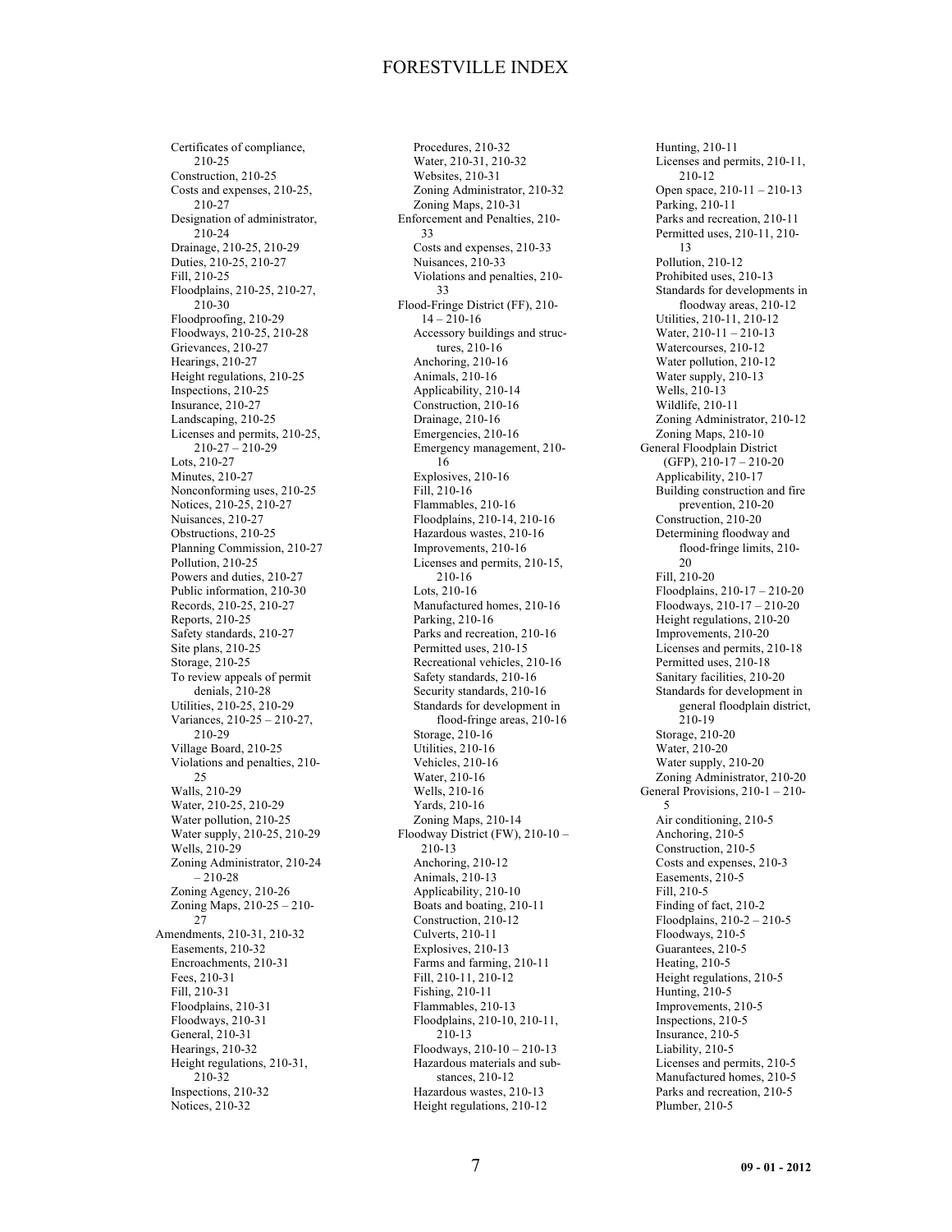Certificates of compliance, 210-25 Construction, 210-25 Costs and expenses, 210-25, 210-27 Designation of administrator, 210-24 Drainage, 210-25, 210-29 Duties, 210-25, 210-27 Fill, 210-25 Floodplains, 210-25, 210-27, 210-30 Floodproofing, 210-29 Floodways, 210-25, 210-28 Grievances, 210-27 Hearings, 210-27 Height regulations, 210-25 Inspections, 210-25 Insurance, 210-27 Landscaping, 210-25 Licenses and permits, 210-25, 210-27 – 210-29 Lots, 210-27 Minutes, 210-27 Nonconforming uses, 210-25 Notices, 210-25, 210-27 Nuisances, 210-27 Obstructions, 210-25 Planning Commission, 210-27 Pollution, 210-25 Powers and duties, 210-27 Public information, 210-30 Records, 210-25, 210-27 Reports, 210-25 Safety standards, 210-27 Site plans, 210-25 Storage, 210-25 To review appeals of permit denials, 210-28 Utilities, 210-25, 210-29 Variances, 210-25 – 210-27, 210-29 Village Board, 210-25 Violations and penalties, 210- 25 Walls, 210-29 Water, 210-25, 210-29 Water pollution, 210-25 Water supply, 210-25, 210-29 Wells, 210-29 Zoning Administrator, 210-24 – 210-28 Zoning Agency, 210-26 Zoning Maps, 210-25 – 210- 27 Amendments, 210-31, 210-32 Easements, 210-32 Encroachments, 210-31 Fees, 210-31 Fill, 210-31 Floodplains, 210-31 Floodways, 210-31 General, 210-31 Hearings, 210-32 Height regulations, 210-31, 210-32 Inspections, 210-32 Notices, 210-32

Procedures, 210-32 Water, 210-31, 210-32 Websites, 210-31 Zoning Administrator, 210-32 Zoning Maps, 210-31 Enforcement and Penalties, 210- 33 Costs and expenses, 210-33 Nuisances, 210-33 Violations and penalties, 210- 33 Flood-Fringe District (FF), 210-  $14 - 210 - 16$ Accessory buildings and structures, 210-16 Anchoring, 210-16 Animals, 210-16 Applicability, 210-14 Construction, 210-16 Drainage, 210-16 Emergencies, 210-16 Emergency management, 210- 16 Explosives, 210-16 Fill, 210-16 Flammables, 210-16 Floodplains, 210-14, 210-16 Hazardous wastes, 210-16 Improvements, 210-16 Licenses and permits, 210-15, 210-16 Lots, 210-16 Manufactured homes, 210-16 Parking, 210-16 Parks and recreation, 210-16 Permitted uses, 210-15 Recreational vehicles, 210-16 Safety standards, 210-16 Security standards, 210-16 Standards for development in flood-fringe areas, 210-16 Storage, 210-16 Utilities, 210-16 Vehicles, 210-16 Water, 210-16 Wells, 210-16 Yards, 210-16 Zoning Maps, 210-14 Floodway District (FW), 210-10 – 210-13 Anchoring, 210-12 Animals, 210-13 Applicability, 210-10 Boats and boating, 210-11 Construction, 210-12 Culverts, 210-11 Explosives, 210-13 Farms and farming, 210-11 Fill, 210-11, 210-12 Fishing, 210-11 Flammables, 210-13 Floodplains, 210-10, 210-11, 210-13 Floodways, 210-10 – 210-13 Hazardous materials and substances, 210-12 Hazardous wastes, 210-13 Height regulations, 210-12

Hunting, 210-11 Licenses and permits, 210-11, 210-12 Open space, 210-11 – 210-13 Parking, 210-11 Parks and recreation, 210-11 Permitted uses, 210-11, 210- 13 Pollution, 210-12 Prohibited uses, 210-13 Standards for developments in floodway areas, 210-12 Utilities, 210-11, 210-12 Water, 210-11 – 210-13 Watercourses, 210-12 Water pollution, 210-12 Water supply, 210-13 Wells, 210-13 Wildlife, 210-11 Zoning Administrator, 210-12 Zoning Maps, 210-10 General Floodplain District (GFP), 210-17 – 210-20 Applicability, 210-17 Building construction and fire prevention, 210-20 Construction, 210-20 Determining floodway and flood-fringe limits, 210- 20 Fill, 210-20 Floodplains, 210-17 – 210-20 Floodways, 210-17 – 210-20 Height regulations, 210-20 Improvements, 210-20 Licenses and permits, 210-18 Permitted uses, 210-18 Sanitary facilities, 210-20 Standards for development in general floodplain district, 210-19 Storage, 210-20 Water, 210-20 Water supply, 210-20 Zoning Administrator, 210-20 General Provisions, 210-1 – 210- 5 Air conditioning, 210-5 Anchoring, 210-5 Construction, 210-5 Costs and expenses, 210-3 Easements, 210-5 Fill, 210-5 Finding of fact, 210-2 Floodplains, 210-2 – 210-5 Floodways, 210-5 Guarantees, 210-5 Heating, 210-5 Height regulations, 210-5 Hunting, 210-5 Improvements, 210-5 Inspections, 210-5 Insurance, 210-5 Liability, 210-5 Licenses and permits, 210-5 Manufactured homes, 210-5 Parks and recreation, 210-5 Plumber, 210-5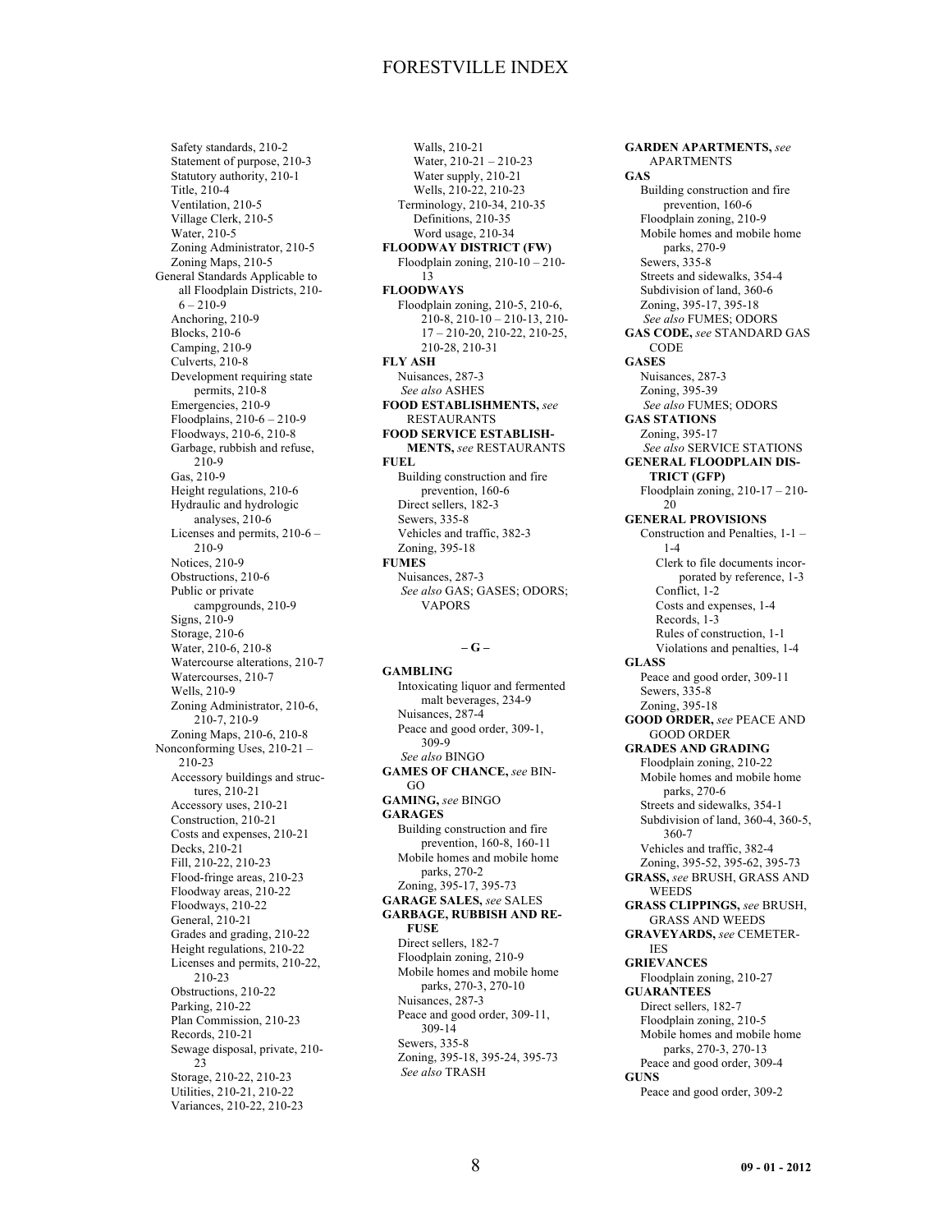Safety standards, 210-2 Statement of purpose, 210-3 Statutory authority, 210-1 Title, 210-4 Ventilation, 210-5 Village Clerk, 210-5 Water, 210-5 Zoning Administrator, 210-5 Zoning Maps, 210-5 General Standards Applicable to all Floodplain Districts, 210-  $6 - 210 - 9$ Anchoring, 210-9 Blocks, 210-6 Camping, 210-9 Culverts, 210-8 Development requiring state permits, 210-8 Emergencies, 210-9 Floodplains, 210-6 – 210-9 Floodways, 210-6, 210-8 Garbage, rubbish and refuse, 210-9 Gas, 210-9 Height regulations, 210-6 Hydraulic and hydrologic analyses, 210-6 Licenses and permits, 210-6 – 210-9 Notices, 210-9 Obstructions, 210-6 Public or private campgrounds, 210-9 Signs, 210-9 Storage, 210-6 Water, 210-6, 210-8 Watercourse alterations, 210-7 Watercourses, 210-7 Wells, 210-9 Zoning Administrator, 210-6, 210-7, 210-9 Zoning Maps, 210-6, 210-8 Nonconforming Uses, 210-21 – 210-23 Accessory buildings and structures, 210-21 Accessory uses, 210-21 Construction, 210-21 Costs and expenses, 210-21 Decks, 210-21 Fill, 210-22, 210-23 Flood-fringe areas, 210-23 Floodway areas, 210-22 Floodways, 210-22 General, 210-21 Grades and grading, 210-22 Height regulations, 210-22 Licenses and permits, 210-22, 210-23 Obstructions, 210-22 Parking, 210-22 Plan Commission, 210-23 Records, 210-21 Sewage disposal, private, 210- 23 Storage, 210-22, 210-23 Utilities, 210-21, 210-22 Variances, 210-22, 210-23

Walls, 210-21 Water, 210-21 – 210-23 Water supply, 210-21 Wells, 210-22, 210-23 Terminology, 210-34, 210-35 Definitions, 210-35 Word usage, 210-34 **FLOODWAY DISTRICT (FW)** Floodplain zoning, 210-10 – 210- 13 **FLOODWAYS** Floodplain zoning, 210-5, 210-6, 210-8, 210-10 – 210-13, 210- 17 – 210-20, 210-22, 210-25, 210-28, 210-31 **FLY ASH** Nuisances, 287-3 *See also* ASHES **FOOD ESTABLISHMENTS,** *see* RESTAURANTS **FOOD SERVICE ESTABLISH-MENTS,** *see* RESTAURANTS **FUEL** Building construction and fire prevention, 160-6 Direct sellers, 182-3 Sewers, 335-8 Vehicles and traffic, 382-3 Zoning, 395-18 **FUMES** Nuisances, 287-3 *See also* GAS; GASES; ODORS; VAPORS

#### **– G –**

**GAMBLING** Intoxicating liquor and fermented malt beverages, 234-9 Nuisances, 287-4 Peace and good order, 309-1, 309-9 *See also* BINGO **GAMES OF CHANCE,** *see* BIN-GO **GAMING,** *see* BINGO **GARAGES** Building construction and fire prevention, 160-8, 160-11 Mobile homes and mobile home parks, 270-2 Zoning, 395-17, 395-73 **GARAGE SALES,** *see* SALES **GARBAGE, RUBBISH AND RE-FUSE** Direct sellers, 182-7 Floodplain zoning, 210-9 Mobile homes and mobile home parks, 270-3, 270-10 Nuisances, 287-3 Peace and good order, 309-11, 309-14 Sewers, 335-8 Zoning, 395-18, 395-24, 395-73 *See also* TRASH

**GARDEN APARTMENTS,** *see* APARTMENTS **GAS** Building construction and fire prevention, 160-6 Floodplain zoning, 210-9 Mobile homes and mobile home parks, 270-9 Sewers, 335-8 Streets and sidewalks, 354-4 Subdivision of land, 360-6 Zoning, 395-17, 395-18 *See also* FUMES; ODORS **GAS CODE,** *see* STANDARD GAS CODE **GASES** Nuisances, 287-3 Zoning, 395-39 *See also* FUMES; ODORS **GAS STATIONS** Zoning, 395-17 *See also* SERVICE STATIONS **GENERAL FLOODPLAIN DIS-TRICT (GFP)** Floodplain zoning, 210-17 – 210- 20 **GENERAL PROVISIONS** Construction and Penalties, 1-1 – 1-4 Clerk to file documents incorporated by reference, 1-3 Conflict, 1-2 Costs and expenses, 1-4 Records, 1-3 Rules of construction, 1-1 Violations and penalties, 1-4 **GLASS** Peace and good order, 309-11 Sewers, 335-8 Zoning, 395-18 **GOOD ORDER,** *see* PEACE AND GOOD ORDER **GRADES AND GRADING** Floodplain zoning, 210-22 Mobile homes and mobile home parks, 270-6 Streets and sidewalks, 354-1 Subdivision of land, 360-4, 360-5, 360-7 Vehicles and traffic, 382-4 Zoning, 395-52, 395-62, 395-73 **GRASS,** *see* BRUSH, GRASS AND WEEDS **GRASS CLIPPINGS,** *see* BRUSH, GRASS AND WEEDS **GRAVEYARDS,** *see* CEMETER-IES **GRIEVANCES** Floodplain zoning, 210-27 **GUARANTEES** Direct sellers, 182-7 Floodplain zoning, 210-5 Mobile homes and mobile home parks, 270-3, 270-13 Peace and good order, 309-4 **GUNS** Peace and good order, 309-2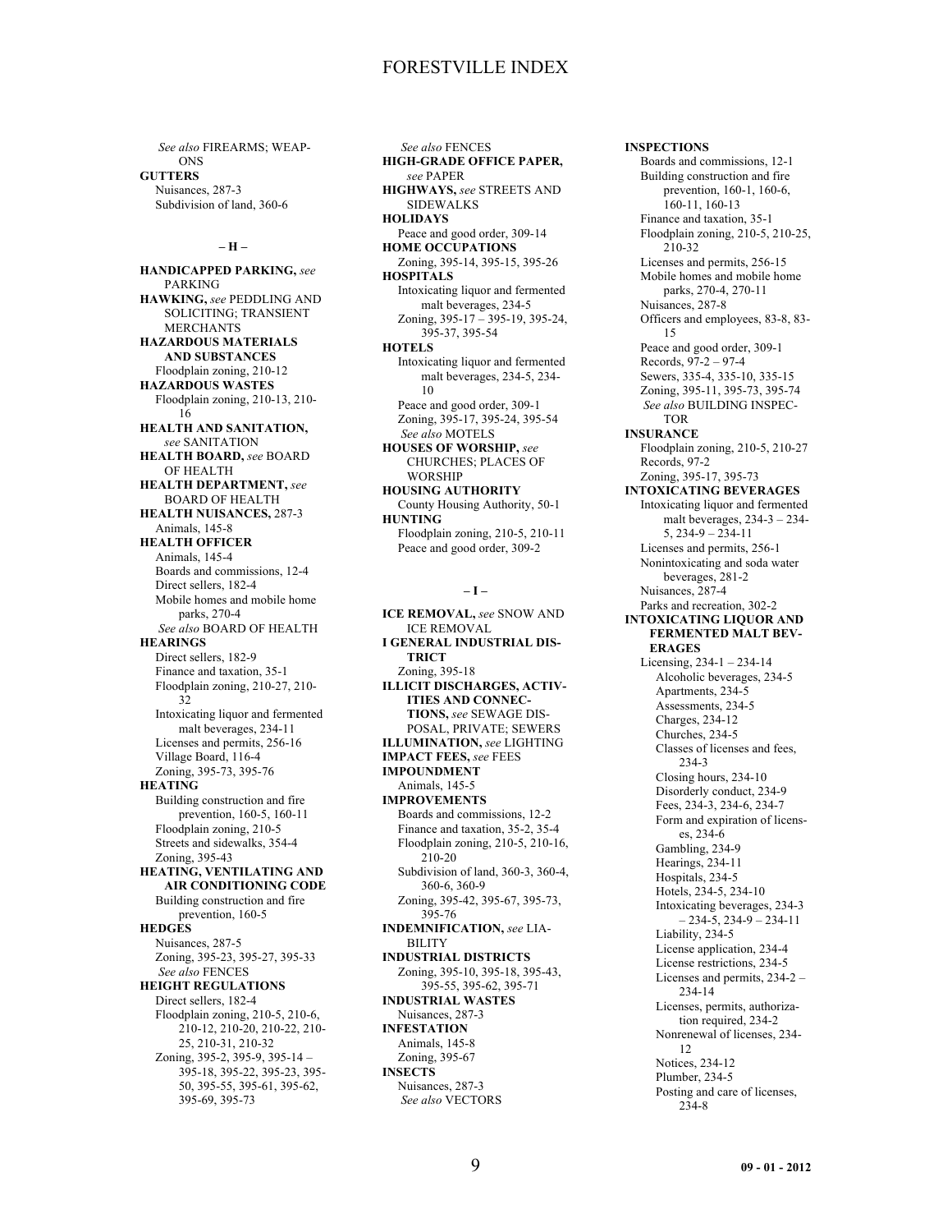*See also* FIREARMS; WEAP-ONS **GUTTERS** Nuisances, 287-3 Subdivision of land, 360-6

**– H –**

**HANDICAPPED PARKING,** *see* PARKING **HAWKING,** *see* PEDDLING AND SOLICITING; TRANSIENT MERCHANTS **HAZARDOUS MATERIALS AND SUBSTANCES** Floodplain zoning, 210-12 **HAZARDOUS WASTES** Floodplain zoning, 210-13, 210- 16 **HEALTH AND SANITATION,** *see* SANITATION **HEALTH BOARD,** *see* BOARD OF HEALTH **HEALTH DEPARTMENT,** *see* BOARD OF HEALTH **HEALTH NUISANCES,** 287-3 Animals, 145-8 **HEALTH OFFICER** Animals, 145-4 Boards and commissions, 12-4 Direct sellers, 182-4 Mobile homes and mobile home parks, 270-4 *See also* BOARD OF HEALTH **HEARINGS** Direct sellers, 182-9 Finance and taxation, 35-1 Floodplain zoning, 210-27, 210- 32 Intoxicating liquor and fermented malt beverages, 234-11 Licenses and permits, 256-16 Village Board, 116-4 Zoning, 395-73, 395-76 **HEATING** Building construction and fire prevention, 160-5, 160-11 Floodplain zoning, 210-5 Streets and sidewalks, 354-4 Zoning, 395-43 **HEATING, VENTILATING AND AIR CONDITIONING CODE** Building construction and fire prevention, 160-5 **HEDGES** Nuisances, 287-5 Zoning, 395-23, 395-27, 395-33 *See also* FENCES **HEIGHT REGULATIONS** Direct sellers, 182-4 Floodplain zoning, 210-5, 210-6, 210-12, 210-20, 210-22, 210- 25, 210-31, 210-32 Zoning, 395-2, 395-9, 395-14 – 395-18, 395-22, 395-23, 395- 50, 395-55, 395-61, 395-62, 395-69, 395-73

*See also* FENCES **HIGH-GRADE OFFICE PAPER,** *see* PAPER **HIGHWAYS,** *see* STREETS AND SIDEWALKS **HOLIDAYS** Peace and good order, 309-14 **HOME OCCUPATIONS** Zoning, 395-14, 395-15, 395-26 **HOSPITALS** Intoxicating liquor and fermented malt beverages, 234-5 Zoning, 395-17 – 395-19, 395-24, 395-37, 395-54 **HOTELS** Intoxicating liquor and fermented malt beverages, 234-5, 234- 10 Peace and good order, 309-1 Zoning, 395-17, 395-24, 395-54 *See also* MOTELS **HOUSES OF WORSHIP,** *see* CHURCHES; PLACES OF WORSHIP **HOUSING AUTHORITY** County Housing Authority, 50-1 **HUNTING** Floodplain zoning, 210-5, 210-11 Peace and good order, 309-2

### **– I –**

**ICE REMOVAL,** *see* SNOW AND ICE REMOVAL **I GENERAL INDUSTRIAL DIS-TRICT** Zoning, 395-18 **ILLICIT DISCHARGES, ACTIV-ITIES AND CONNEC-TIONS,** *see* SEWAGE DIS-POSAL, PRIVATE; SEWERS **ILLUMINATION,** *see* LIGHTING **IMPACT FEES,** *see* FEES **IMPOUNDMENT** Animals, 145-5 **IMPROVEMENTS** Boards and commissions, 12-2 Finance and taxation, 35-2, 35-4 Floodplain zoning, 210-5, 210-16, 210-20 Subdivision of land, 360-3, 360-4, 360-6, 360-9 Zoning, 395-42, 395-67, 395-73, 395-76 **INDEMNIFICATION,** *see* LIA-BILITY **INDUSTRIAL DISTRICTS** Zoning, 395-10, 395-18, 395-43, 395-55, 395-62, 395-71 **INDUSTRIAL WASTES** Nuisances, 287-3 **INFESTATION** Animals, 145-8 Zoning, 395-67 **INSECTS** Nuisances, 287-3 *See also* VECTORS

**INSPECTIONS** Boards and commissions, 12-1 Building construction and fire prevention, 160-1, 160-6, 160-11, 160-13 Finance and taxation, 35-1 Floodplain zoning, 210-5, 210-25, 210-32 Licenses and permits, 256-15 Mobile homes and mobile home parks, 270-4, 270-11 Nuisances, 287-8 Officers and employees, 83-8, 83- 15 Peace and good order, 309-1 Records, 97-2 – 97-4 Sewers, 335-4, 335-10, 335-15 Zoning, 395-11, 395-73, 395-74 *See also* BUILDING INSPEC-TOR **INSURANCE** Floodplain zoning, 210-5, 210-27 Records, 97-2 Zoning, 395-17, 395-73 **INTOXICATING BEVERAGES** Intoxicating liquor and fermented malt beverages, 234-3 – 234- 5, 234-9 – 234-11 Licenses and permits, 256-1 Nonintoxicating and soda water beverages, 281-2 Nuisances, 287-4 Parks and recreation, 302-2 **INTOXICATING LIQUOR AND FERMENTED MALT BEV-ERAGES** Licensing, 234-1 – 234-14 Alcoholic beverages, 234-5 Apartments, 234-5 Assessments, 234-5 Charges, 234-12 Churches, 234-5 Classes of licenses and fees, 234-3 Closing hours, 234-10 Disorderly conduct, 234-9 Fees, 234-3, 234-6, 234-7 Form and expiration of licenses, 234-6 Gambling, 234-9 Hearings, 234-11 Hospitals, 234-5 Hotels, 234-5, 234-10 Intoxicating beverages, 234-3  $-234-5, 234-9-234-11$ Liability, 234-5 License application, 234-4 License restrictions, 234-5 Licenses and permits, 234-2 – 234-14 Licenses, permits, authorization required, 234-2 Nonrenewal of licenses, 234- 12 Notices, 234-12 Plumber, 234-5 Posting and care of licenses, 234-8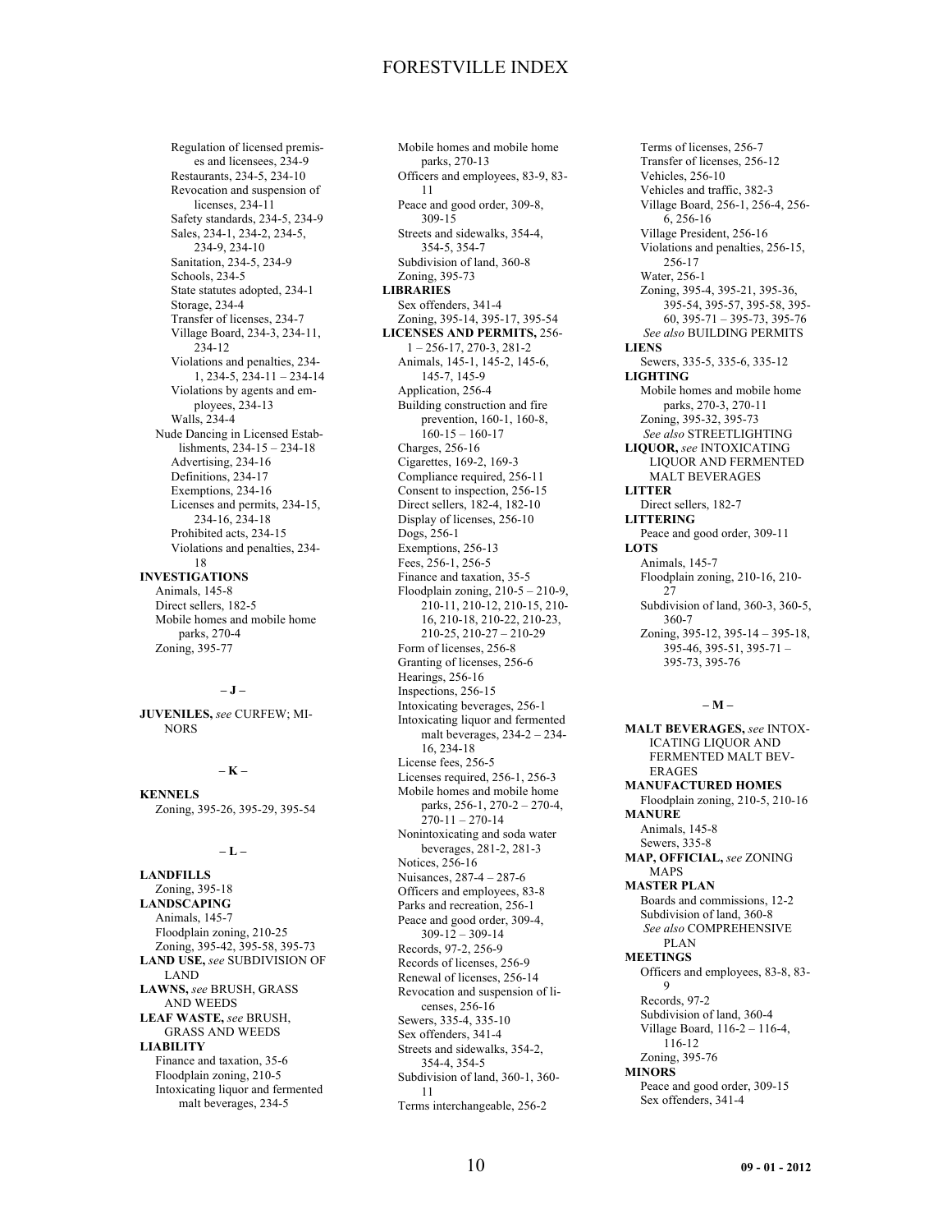Regulation of licensed premises and licensees, 234-9 Restaurants, 234-5, 234-10 Revocation and suspension of licenses, 234-11 Safety standards, 234-5, 234-9 Sales, 234-1, 234-2, 234-5, 234-9, 234-10 Sanitation, 234-5, 234-9 Schools, 234-5 State statutes adopted, 234-1 Storage, 234-4 Transfer of licenses, 234-7 Village Board, 234-3, 234-11, 234-12 Violations and penalties, 234- 1, 234-5, 234-11 – 234-14 Violations by agents and employees, 234-13 Walls, 234-4 Nude Dancing in Licensed Establishments, 234-15 – 234-18 Advertising, 234-16 Definitions, 234-17 Exemptions, 234-16 Licenses and permits, 234-15, 234-16, 234-18 Prohibited acts, 234-15 Violations and penalties, 234- 18 **INVESTIGATIONS** Animals, 145-8 Direct sellers, 182-5 Mobile homes and mobile home parks, 270-4

### **– J –**

Zoning, 395-77

**JUVENILES,** *see* CURFEW; MI-**NORS** 

### **– K –**

**KENNELS** Zoning, 395-26, 395-29, 395-54

### **– L –**

**LANDFILLS** Zoning, 395-18 **LANDSCAPING** Animals, 145-7 Floodplain zoning, 210-25 Zoning, 395-42, 395-58, 395-73 **LAND USE,** *see* SUBDIVISION OF LAND **LAWNS,** *see* BRUSH, GRASS AND WEEDS **LEAF WASTE,** *see* BRUSH, GRASS AND WEEDS **LIABILITY** Finance and taxation, 35-6 Floodplain zoning, 210-5 Intoxicating liquor and fermented malt beverages, 234-5

Mobile homes and mobile home parks, 270-13 Officers and employees, 83-9, 83- 11 Peace and good order, 309-8, 309-15 Streets and sidewalks, 354-4, 354-5, 354-7 Subdivision of land, 360-8 Zoning, 395-73 **LIBRARIES** Sex offenders, 341-4 Zoning, 395-14, 395-17, 395-54 **LICENSES AND PERMITS,** 256- 1 – 256-17, 270-3, 281-2 Animals, 145-1, 145-2, 145-6, 145-7, 145-9 Application, 256-4 Building construction and fire prevention, 160-1, 160-8,  $160-15 - 160-17$ Charges, 256-16 Cigarettes, 169-2, 169-3 Compliance required, 256-11 Consent to inspection, 256-15 Direct sellers, 182-4, 182-10 Display of licenses, 256-10 Dogs, 256-1 Exemptions, 256-13 Fees, 256-1, 256-5 Finance and taxation, 35-5 Floodplain zoning, 210-5 – 210-9, 210-11, 210-12, 210-15, 210- 16, 210-18, 210-22, 210-23, 210-25, 210-27 – 210-29 Form of licenses, 256-8 Granting of licenses, 256-6 Hearings, 256-16 Inspections, 256-15 Intoxicating beverages, 256-1 Intoxicating liquor and fermented malt beverages, 234-2 – 234- 16, 234-18 License fees, 256-5 Licenses required, 256-1, 256-3 Mobile homes and mobile home parks, 256-1, 270-2 – 270-4, 270-11 – 270-14 Nonintoxicating and soda water beverages, 281-2, 281-3 Notices, 256-16 Nuisances, 287-4 – 287-6 Officers and employees, 83-8 Parks and recreation, 256-1 Peace and good order, 309-4,  $309-12 - 309-14$ Records, 97-2, 256-9 Records of licenses, 256-9 Renewal of licenses, 256-14 Revocation and suspension of licenses, 256-16 Sewers, 335-4, 335-10 Sex offenders, 341-4 Streets and sidewalks, 354-2, 354-4, 354-5 Subdivision of land, 360-1, 360- 11 Terms interchangeable, 256-2

Transfer of licenses, 256-12 Vehicles, 256-10 Vehicles and traffic, 382-3 Village Board, 256-1, 256-4, 256- 6, 256-16 Village President, 256-16 Violations and penalties, 256-15, 256-17 Water, 256-1 Zoning, 395-4, 395-21, 395-36, 395-54, 395-57, 395-58, 395- 60, 395-71 – 395-73, 395-76 *See also* BUILDING PERMITS **LIENS** Sewers, 335-5, 335-6, 335-12 **LIGHTING** Mobile homes and mobile home parks, 270-3, 270-11 Zoning, 395-32, 395-73 *See also* STREETLIGHTING **LIQUOR,** *see* INTOXICATING LIQUOR AND FERMENTED MALT BEVERAGES **LITTER** Direct sellers, 182-7 **LITTERING** Peace and good order, 309-11 **LOTS** Animals, 145-7 Floodplain zoning, 210-16, 210- 27 Subdivision of land, 360-3, 360-5, 360-7 Zoning, 395-12, 395-14 – 395-18, 395-46, 395-51, 395-71 – 395-73, 395-76

Terms of licenses, 256-7

### **– M –**

**MALT BEVERAGES,** *see* INTOX-ICATING LIQUOR AND FERMENTED MALT BEV-ERAGES **MANUFACTURED HOMES** Floodplain zoning, 210-5, 210-16 **MANURE** Animals, 145-8 Sewers, 335-8 **MAP, OFFICIAL,** *see* ZONING MAPS **MASTER PLAN** Boards and commissions, 12-2 Subdivision of land, 360-8 *See also* COMPREHENSIVE PLAN **MEETINGS** Officers and employees, 83-8, 83- 9 Records, 97-2 Subdivision of land, 360-4 Village Board, 116-2 – 116-4, 116-12 Zoning, 395-76 **MINORS** Peace and good order, 309-15 Sex offenders, 341-4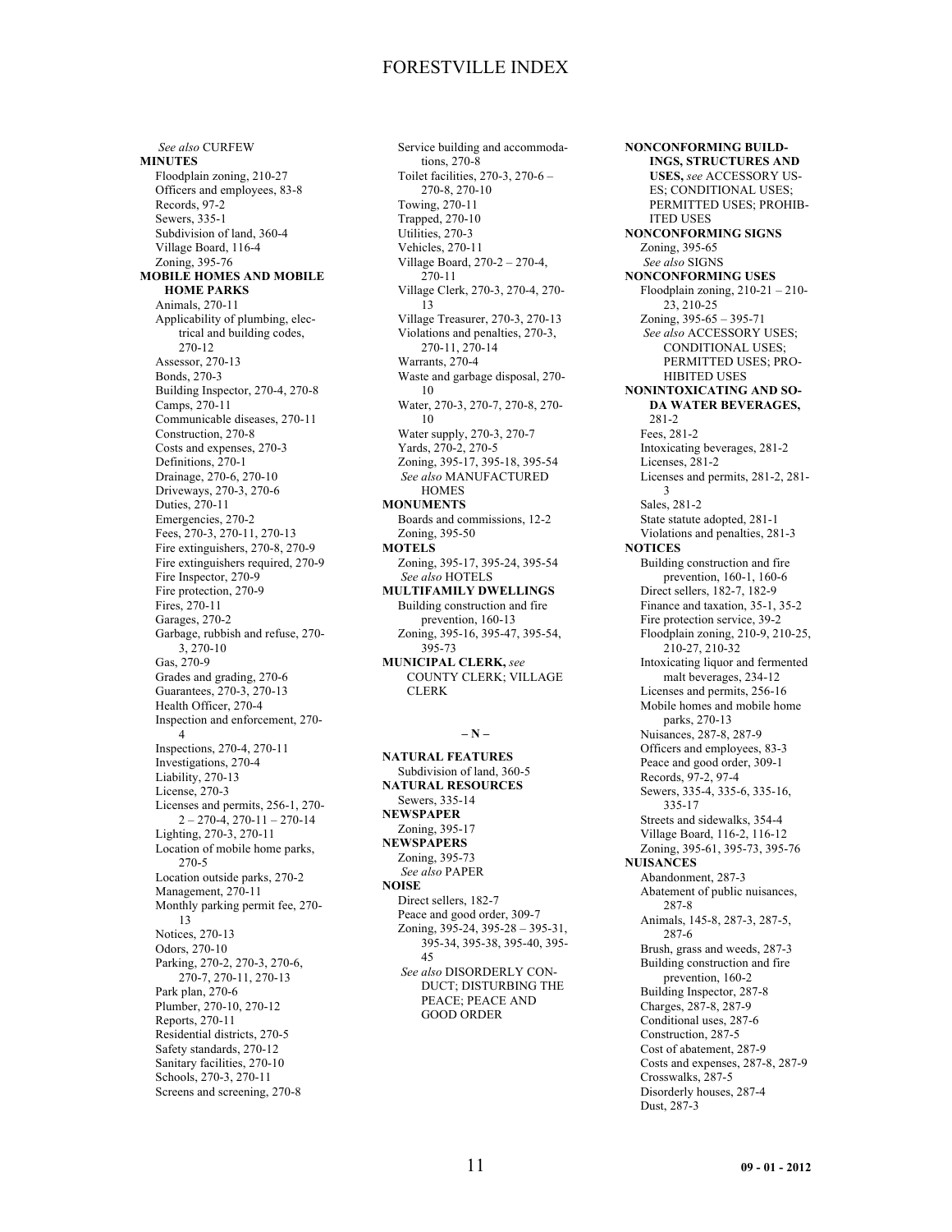*See also* CURFEW **MINUTES** Floodplain zoning, 210-27 Officers and employees, 83-8 Records, 97-2 Sewers, 335-1 Subdivision of land, 360-4 Village Board, 116-4 Zoning, 395-76 **MOBILE HOMES AND MOBILE HOME PARKS** Animals, 270-11 Applicability of plumbing, electrical and building codes, 270-12 Assessor, 270-13 Bonds, 270-3 Building Inspector, 270-4, 270-8 Camps, 270-11 Communicable diseases, 270-11 Construction, 270-8 Costs and expenses, 270-3 Definitions, 270-1 Drainage, 270-6, 270-10 Driveways, 270-3, 270-6 Duties, 270-11 Emergencies, 270-2 Fees, 270-3, 270-11, 270-13 Fire extinguishers, 270-8, 270-9 Fire extinguishers required, 270-9 Fire Inspector, 270-9 Fire protection, 270-9 Fires, 270-11 Garages, 270-2 Garbage, rubbish and refuse, 270- 3, 270-10 Gas, 270-9 Grades and grading, 270-6 Guarantees, 270-3, 270-13 Health Officer, 270-4 Inspection and enforcement, 270- 4 Inspections, 270-4, 270-11 Investigations, 270-4 Liability, 270-13 License, 270-3 Licenses and permits, 256-1, 270- 2 – 270-4, 270-11 – 270-14 Lighting, 270-3, 270-11 Location of mobile home parks, 270-5 Location outside parks, 270-2 Management, 270-11 Monthly parking permit fee, 270- 13 Notices, 270-13 Odors, 270-10 Parking, 270-2, 270-3, 270-6, 270-7, 270-11, 270-13 Park plan, 270-6 Plumber, 270-10, 270-12 Reports, 270-11 Residential districts, 270-5 Safety standards, 270-12 Sanitary facilities, 270-10 Schools, 270-3, 270-11 Screens and screening, 270-8

Service building and accommodations, 270-8 Toilet facilities, 270-3, 270-6 – 270-8, 270-10 Towing, 270-11 Trapped, 270-10 Utilities, 270-3 Vehicles, 270-11 Village Board, 270-2 – 270-4, 270-11 Village Clerk, 270-3, 270-4, 270- 13 Village Treasurer, 270-3, 270-13 Violations and penalties, 270-3, 270-11, 270-14 Warrants, 270-4 Waste and garbage disposal, 270- 10 Water, 270-3, 270-7, 270-8, 270- 10 Water supply, 270-3, 270-7 Yards, 270-2, 270-5 Zoning, 395-17, 395-18, 395-54 *See also* MANUFACTURED **HOMES MONUMENTS** Boards and commissions, 12-2 Zoning, 395-50 **MOTELS** Zoning, 395-17, 395-24, 395-54 *See also* HOTELS **MULTIFAMILY DWELLINGS** Building construction and fire prevention, 160-13 Zoning, 395-16, 395-47, 395-54, 395-73 **MUNICIPAL CLERK,** *see* COUNTY CLERK; VILLAGE **CLERK** 

### **– N –**

**NATURAL FEATURES** Subdivision of land, 360-5 **NATURAL RESOURCES** Sewers, 335-14 **NEWSPAPER** Zoning, 395-17 **NEWSPAPERS** Zoning, 395-73 *See also* PAPER **NOISE** Direct sellers, 182-7 Peace and good order, 309-7 Zoning, 395-24, 395-28 – 395-31, 395-34, 395-38, 395-40, 395- 45 *See also* DISORDERLY CON-DUCT; DISTURBING THE PEACE; PEACE AND GOOD ORDER

**NONCONFORMING BUILD-INGS, STRUCTURES AND USES,** *see* ACCESSORY US-ES; CONDITIONAL USES; PERMITTED USES; PROHIB-ITED USES **NONCONFORMING SIGNS** Zoning, 395-65 *See also* SIGNS **NONCONFORMING USES** Floodplain zoning, 210-21 – 210- 23, 210-25 Zoning, 395-65 – 395-71 *See also* ACCESSORY USES; CONDITIONAL USES; PERMITTED USES; PRO-HIBITED USES **NONINTOXICATING AND SO-DA WATER BEVERAGES,** 281-2 Fees, 281-2 Intoxicating beverages, 281-2 Licenses, 281-2 Licenses and permits, 281-2, 281- 3 Sales, 281-2 State statute adopted, 281-1 Violations and penalties, 281-3 **NOTICES** Building construction and fire prevention, 160-1, 160-6 Direct sellers, 182-7, 182-9 Finance and taxation, 35-1, 35-2 Fire protection service, 39-2 Floodplain zoning, 210-9, 210-25, 210-27, 210-32 Intoxicating liquor and fermented malt beverages, 234-12 Licenses and permits, 256-16 Mobile homes and mobile home parks, 270-13 Nuisances, 287-8, 287-9 Officers and employees, 83-3 Peace and good order, 309-1 Records, 97-2, 97-4 Sewers, 335-4, 335-6, 335-16, 335-17 Streets and sidewalks, 354-4 Village Board, 116-2, 116-12 Zoning, 395-61, 395-73, 395-76 **NUISANCES** Abandonment, 287-3 Abatement of public nuisances, 287-8 Animals, 145-8, 287-3, 287-5, 287-6 Brush, grass and weeds, 287-3 Building construction and fire prevention, 160-2 Building Inspector, 287-8 Charges, 287-8, 287-9 Conditional uses, 287-6 Construction, 287-5 Cost of abatement, 287-9 Costs and expenses, 287-8, 287-9 Crosswalks, 287-5 Disorderly houses, 287-4 Dust, 287-3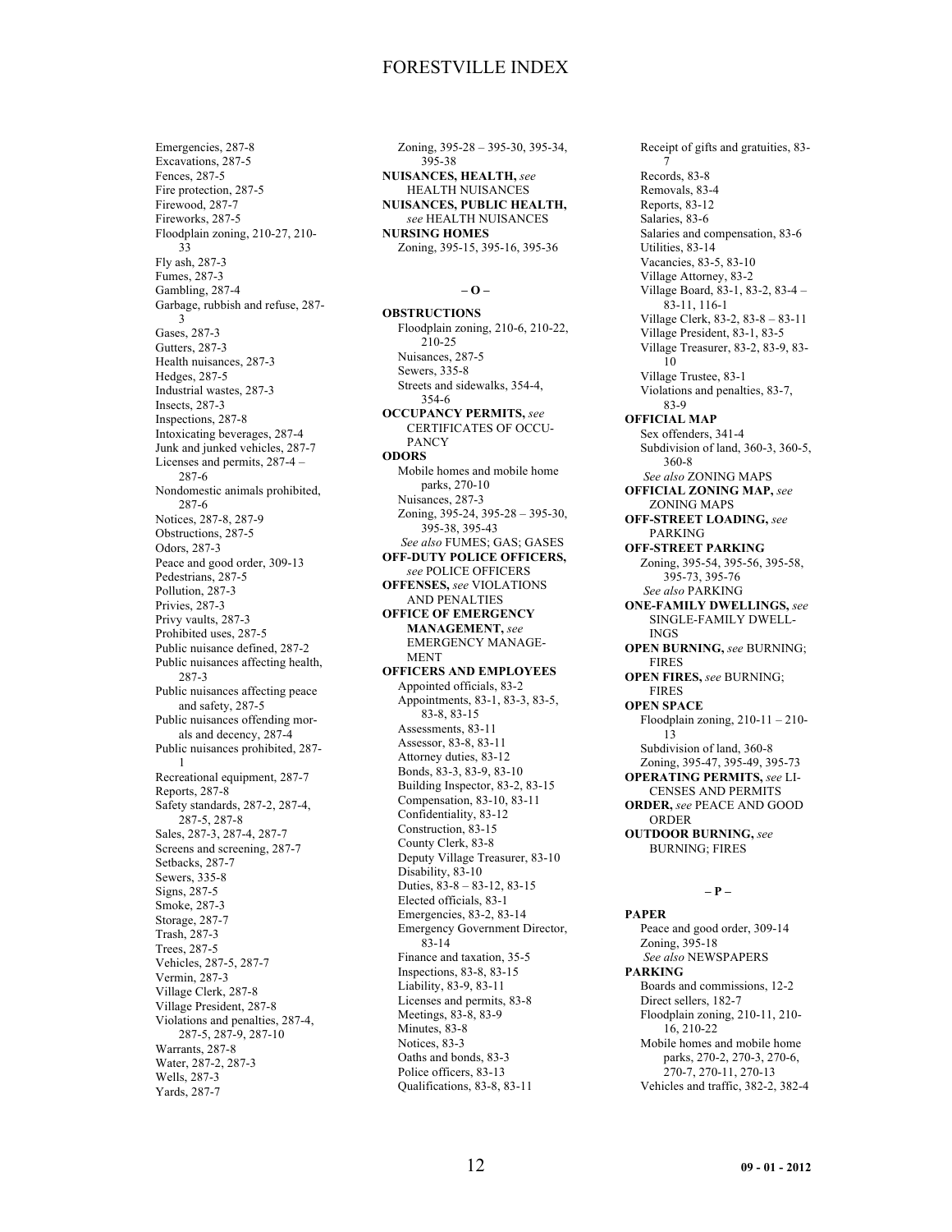Emergencies, 287-8 Excavations, 287-5 Fences, 287-5 Fire protection, 287-5 Firewood, 287-7 Fireworks, 287-5 Floodplain zoning, 210-27, 210- 33 Fly ash, 287-3 Fumes, 287-3 Gambling, 287-4 Garbage, rubbish and refuse, 287- 3 Gases, 287-3 Gutters, 287-3 Health nuisances, 287-3 Hedges, 287-5 Industrial wastes, 287-3 Insects, 287-3 Inspections, 287-8 Intoxicating beverages, 287-4 Junk and junked vehicles, 287-7 Licenses and permits, 287-4 – 287-6 Nondomestic animals prohibited, 287-6 Notices, 287-8, 287-9 Obstructions, 287-5 Odors, 287-3 Peace and good order, 309-13 Pedestrians, 287-5 Pollution, 287-3 Privies, 287-3 Privy vaults, 287-3 Prohibited uses, 287-5 Public nuisance defined, 287-2 Public nuisances affecting health, 287-3 Public nuisances affecting peace and safety, 287-5 Public nuisances offending morals and decency, 287-4 Public nuisances prohibited, 287- 1 Recreational equipment, 287-7 Reports, 287-8 Safety standards, 287-2, 287-4, 287-5, 287-8 Sales, 287-3, 287-4, 287-7 Screens and screening, 287-7 Setbacks, 287-7 Sewers, 335-8 Signs, 287-5 Smoke, 287-3 Storage, 287-7 Trash, 287-3 Trees, 287-5 Vehicles, 287-5, 287-7 Vermin, 287-3 Village Clerk, 287-8 Village President, 287-8 Violations and penalties, 287-4, 287-5, 287-9, 287-10 Warrants, 287-8 Water, 287-2, 287-3 Wells, 287-3 Yards, 287-7

Zoning, 395-28 – 395-30, 395-34, 395-38 **NUISANCES, HEALTH,** *see* HEALTH NUISANCES **NUISANCES, PUBLIC HEALTH,** *see* HEALTH NUISANCES **NURSING HOMES** Zoning, 395-15, 395-16, 395-36

### **– O –**

**OBSTRUCTIONS** Floodplain zoning, 210-6, 210-22, 210-25 Nuisances, 287-5 Sewers, 335-8 Streets and sidewalks, 354-4, 354-6 **OCCUPANCY PERMITS,** *see* CERTIFICATES OF OCCU-PANCY **ODORS** Mobile homes and mobile home parks, 270-10 Nuisances, 287-3 Zoning, 395-24, 395-28 – 395-30, 395-38, 395-43 *See also* FUMES; GAS; GASES **OFF-DUTY POLICE OFFICERS,** *see* POLICE OFFICERS **OFFENSES,** *see* VIOLATIONS AND PENALTIES **OFFICE OF EMERGENCY MANAGEMENT,** *see* EMERGENCY MANAGE-MENT **OFFICERS AND EMPLOYEES** Appointed officials, 83-2 Appointments, 83-1, 83-3, 83-5, 83-8, 83-15 Assessments, 83-11 Assessor, 83-8, 83-11 Attorney duties, 83-12 Bonds, 83-3, 83-9, 83-10 Building Inspector, 83-2, 83-15 Compensation, 83-10, 83-11 Confidentiality, 83-12 Construction, 83-15 County Clerk, 83-8 Deputy Village Treasurer, 83-10 Disability, 83-10 Duties, 83-8 – 83-12, 83-15 Elected officials, 83-1 Emergencies, 83-2, 83-14 Emergency Government Director, 83-14 Finance and taxation, 35-5 Inspections, 83-8, 83-15 Liability, 83-9, 83-11 Licenses and permits, 83-8 Meetings, 83-8, 83-9 Minutes, 83-8 Notices, 83-3 Oaths and bonds, 83-3 Police officers, 83-13 Qualifications, 83-8, 83-11

Receipt of gifts and gratuities, 83- 7 Records, 83-8 Removals, 83-4 Reports, 83-12 Salaries, 83-6 Salaries and compensation, 83-6 Utilities, 83-14 Vacancies, 83-5, 83-10 Village Attorney, 83-2 Village Board, 83-1, 83-2, 83-4 – 83-11, 116-1 Village Clerk, 83-2, 83-8 – 83-11 Village President, 83-1, 83-5 Village Treasurer, 83-2, 83-9, 83- 10 Village Trustee, 83-1 Violations and penalties, 83-7, 83-9 **OFFICIAL MAP** Sex offenders, 341-4 Subdivision of land, 360-3, 360-5, 360-8 *See also* ZONING MAPS **OFFICIAL ZONING MAP,** *see* ZONING MAPS **OFF-STREET LOADING,** *see* PARKING **OFF-STREET PARKING** Zoning, 395-54, 395-56, 395-58, 395-73, 395-76 *See also* PARKING **ONE-FAMILY DWELLINGS,** *see* SINGLE-FAMILY DWELL-INGS **OPEN BURNING,** *see* BURNING; FIRES **OPEN FIRES,** *see* BURNING; FIRES **OPEN SPACE** Floodplain zoning, 210-11 – 210- 13 Subdivision of land, 360-8 Zoning, 395-47, 395-49, 395-73 **OPERATING PERMITS,** *see* LI-CENSES AND PERMITS **ORDER,** *see* PEACE AND GOOD ORDER **OUTDOOR BURNING,** *see* BURNING; FIRES

### **– P –**

**PAPER** Peace and good order, 309-14 Zoning, 395-18 *See also* NEWSPAPERS **PARKING** Boards and commissions, 12-2 Direct sellers, 182-7 Floodplain zoning, 210-11, 210- 16, 210-22 Mobile homes and mobile home parks, 270-2, 270-3, 270-6, 270-7, 270-11, 270-13 Vehicles and traffic, 382-2, 382-4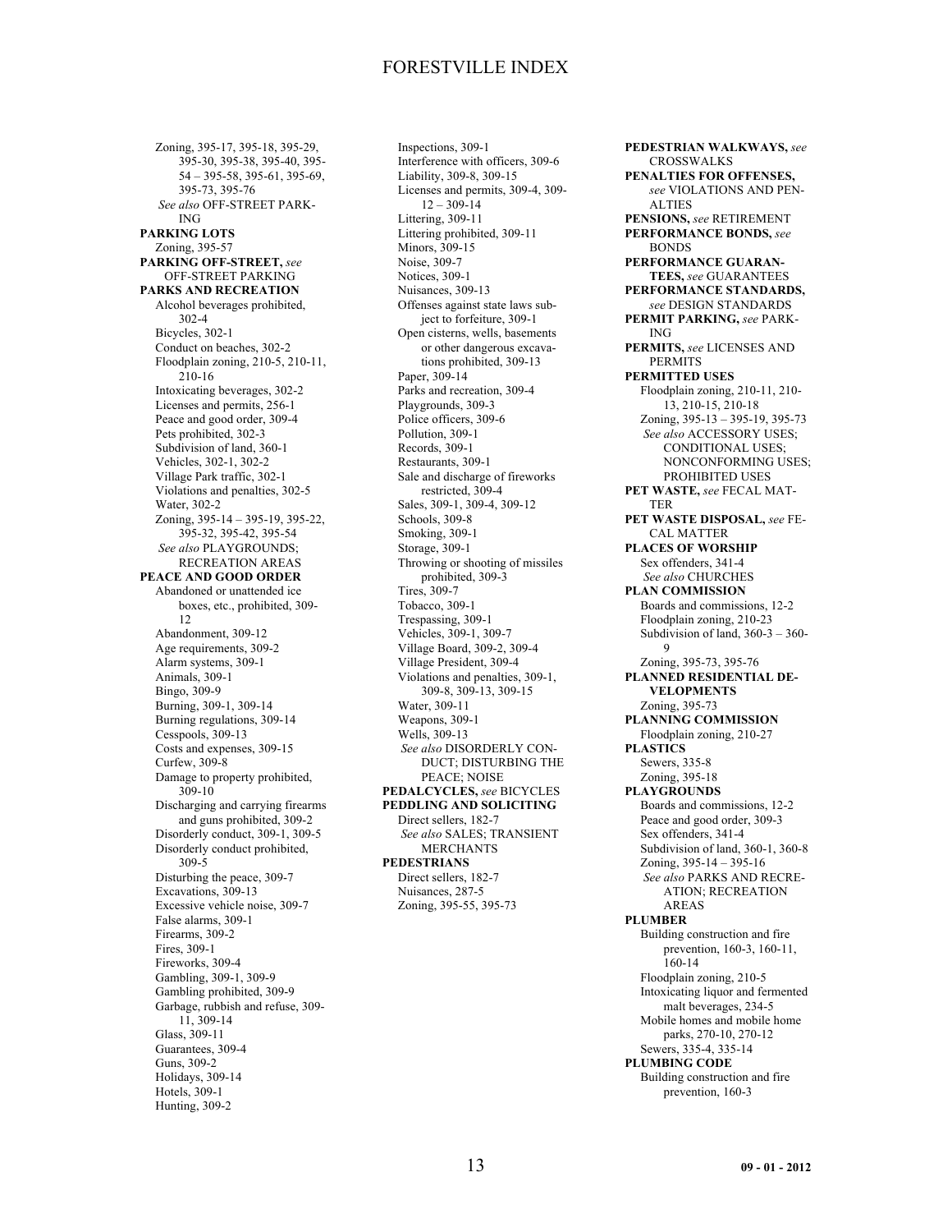Zoning, 395-17, 395-18, 395-29, 395-30, 395-38, 395-40, 395- 54 – 395-58, 395-61, 395-69, 395-73, 395-76 *See also* OFF-STREET PARK-ING **PARKING LOTS** Zoning, 395-57 **PARKING OFF-STREET,** *see* OFF-STREET PARKING **PARKS AND RECREATION** Alcohol beverages prohibited, 302-4 Bicycles, 302-1 Conduct on beaches, 302-2 Floodplain zoning, 210-5, 210-11, 210-16 Intoxicating beverages, 302-2 Licenses and permits, 256-1 Peace and good order, 309-4 Pets prohibited, 302-3 Subdivision of land, 360-1 Vehicles, 302-1, 302-2 Village Park traffic, 302-1 Violations and penalties, 302-5 Water, 302-2 Zoning, 395-14 – 395-19, 395-22, 395-32, 395-42, 395-54 *See also* PLAYGROUNDS; RECREATION AREAS **PEACE AND GOOD ORDER** Abandoned or unattended ice boxes, etc., prohibited, 309- 12 Abandonment, 309-12 Age requirements, 309-2 Alarm systems, 309-1 Animals, 309-1 Bingo, 309-9 Burning, 309-1, 309-14 Burning regulations, 309-14 Cesspools, 309-13 Costs and expenses, 309-15 Curfew, 309-8 Damage to property prohibited, 309-10 Discharging and carrying firearms and guns prohibited, 309-2 Disorderly conduct, 309-1, 309-5 Disorderly conduct prohibited, 309-5 Disturbing the peace, 309-7 Excavations, 309-13 Excessive vehicle noise, 309-7 False alarms, 309-1 Firearms, 309-2 Fires, 309-1 Fireworks, 309-4 Gambling, 309-1, 309-9 Gambling prohibited, 309-9 Garbage, rubbish and refuse, 309- 11, 309-14 Glass, 309-11 Guarantees, 309-4 Guns, 309-2 Holidays, 309-14 Hotels, 309-1 Hunting, 309-2

Inspections, 309-1 Interference with officers, 309-6 Liability, 309-8, 309-15 Licenses and permits, 309-4, 309- 12 – 309-14 Littering, 309-11 Littering prohibited, 309-11 Minors, 309-15 Noise, 309-7 Notices, 309-1 Nuisances, 309-13 Offenses against state laws subject to forfeiture, 309-1 Open cisterns, wells, basements or other dangerous excavations prohibited, 309-13 Paper, 309-14 Parks and recreation, 309-4 Playgrounds, 309-3 Police officers, 309-6 Pollution, 309-1 Records, 309-1 Restaurants, 309-1 Sale and discharge of fireworks restricted, 309-4 Sales, 309-1, 309-4, 309-12 Schools, 309-8 Smoking, 309-1 Storage, 309-1 Throwing or shooting of missiles prohibited, 309-3 Tires, 309-7 Tobacco, 309-1 Trespassing, 309-1 Vehicles, 309-1, 309-7 Village Board, 309-2, 309-4 Village President, 309-4 Violations and penalties, 309-1, 309-8, 309-13, 309-15 Water, 309-11 Weapons, 309-1 Wells, 309-13 *See also* DISORDERLY CON-DUCT; DISTURBING THE PEACE; NOISE **PEDALCYCLES,** *see* BICYCLES **PEDDLING AND SOLICITING** Direct sellers, 182-7 *See also* SALES; TRANSIENT MERCHANTS **PEDESTRIANS** Direct sellers, 182-7 Nuisances, 287-5 Zoning, 395-55, 395-73

**PEDESTRIAN WALKWAYS,** *see* **CROSSWALKS PENALTIES FOR OFFENSES,** *see* VIOLATIONS AND PEN-ALTIES **PENSIONS,** *see* RETIREMENT **PERFORMANCE BONDS,** *see* BONDS **PERFORMANCE GUARAN-TEES,** *see* GUARANTEES **PERFORMANCE STANDARDS,** *see* DESIGN STANDARDS **PERMIT PARKING,** *see* PARK-ING **PERMITS,** *see* LICENSES AND PERMITS **PERMITTED USES** Floodplain zoning, 210-11, 210- 13, 210-15, 210-18 Zoning, 395-13 – 395-19, 395-73 *See also* ACCESSORY USES; CONDITIONAL USES; NONCONFORMING USES; PROHIBITED USES **PET WASTE,** *see* FECAL MAT-TER **PET WASTE DISPOSAL,** *see* FE-CAL MATTER **PLACES OF WORSHIP** Sex offenders, 341-4 *See also* CHURCHES **PLAN COMMISSION** Boards and commissions, 12-2 Floodplain zoning, 210-23 Subdivision of land, 360-3 – 360- 9 Zoning, 395-73, 395-76 **PLANNED RESIDENTIAL DE-VELOPMENTS** Zoning, 395-73 **PLANNING COMMISSION** Floodplain zoning, 210-27 **PLASTICS** Sewers, 335-8 Zoning, 395-18 **PLAYGROUNDS** Boards and commissions, 12-2 Peace and good order, 309-3 Sex offenders, 341-4 Subdivision of land, 360-1, 360-8 Zoning, 395-14 – 395-16 *See also* PARKS AND RECRE-ATION; RECREATION AREAS **PLUMBER** Building construction and fire prevention, 160-3, 160-11, 160-14 Floodplain zoning, 210-5 Intoxicating liquor and fermented malt beverages, 234-5 Mobile homes and mobile home parks, 270-10, 270-12 Sewers, 335-4, 335-14 **PLUMBING CODE** Building construction and fire prevention, 160-3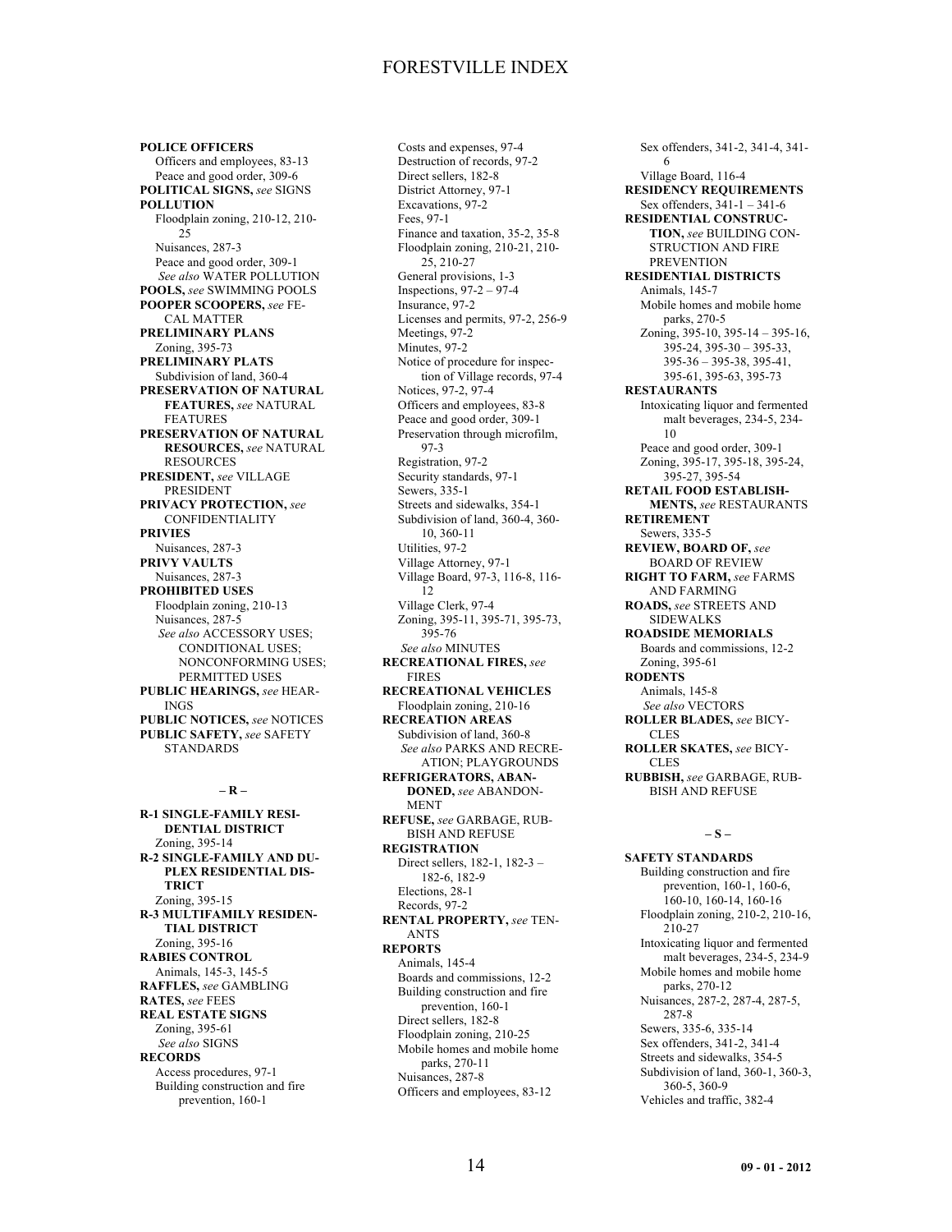**POLICE OFFICERS** Officers and employees, 83-13 Peace and good order, 309-6 **POLITICAL SIGNS,** *see* SIGNS **POLLUTION** Floodplain zoning, 210-12, 210- 25 Nuisances, 287-3 Peace and good order, 309-1 *See also* WATER POLLUTION **POOLS,** *see* SWIMMING POOLS **POOPER SCOOPERS,** *see* FE-CAL MATTER **PRELIMINARY PLANS** Zoning, 395-73 **PRELIMINARY PLATS** Subdivision of land, 360-4 **PRESERVATION OF NATURAL FEATURES,** *see* NATURAL FEATURES **PRESERVATION OF NATURAL RESOURCES,** *see* NATURAL RESOURCES **PRESIDENT,** *see* VILLAGE PRESIDENT **PRIVACY PROTECTION,** *see* CONFIDENTIALITY **PRIVIES** Nuisances, 287-3 **PRIVY VAULTS** Nuisances, 287-3 **PROHIBITED USES** Floodplain zoning, 210-13 Nuisances, 287-5 *See also* ACCESSORY USES; CONDITIONAL USES; NONCONFORMING USES; PERMITTED USES **PUBLIC HEARINGS,** *see* HEAR-INGS **PUBLIC NOTICES,** *see* NOTICES **PUBLIC SAFETY,** *see* SAFETY STANDARDS

### **– R –**

**R-1 SINGLE-FAMILY RESI-DENTIAL DISTRICT** Zoning, 395-14 **R-2 SINGLE-FAMILY AND DU-PLEX RESIDENTIAL DIS-TRICT** Zoning, 395-15 **R-3 MULTIFAMILY RESIDEN-TIAL DISTRICT** Zoning, 395-16 **RABIES CONTROL** Animals, 145-3, 145-5 **RAFFLES,** *see* GAMBLING **RATES,** *see* FEES **REAL ESTATE SIGNS** Zoning, 395-61 *See also* SIGNS **RECORDS** Access procedures, 97-1 Building construction and fire prevention, 160-1

Costs and expenses, 97-4 Destruction of records, 97-2 Direct sellers, 182-8 District Attorney, 97-1 Excavations, 97-2 Fees, 97-1 Finance and taxation, 35-2, 35-8 Floodplain zoning, 210-21, 210- 25, 210-27 General provisions, 1-3 Inspections, 97-2 – 97-4 Insurance, 97-2 Licenses and permits, 97-2, 256-9 Meetings, 97-2 Minutes, 97-2 Notice of procedure for inspection of Village records, 97-4 Notices, 97-2, 97-4 Officers and employees, 83-8 Peace and good order, 309-1 Preservation through microfilm, 97-3 Registration, 97-2 Security standards, 97-1 Sewers, 335-1 Streets and sidewalks, 354-1 Subdivision of land, 360-4, 360- 10, 360-11 Utilities, 97-2 Village Attorney, 97-1 Village Board, 97-3, 116-8, 116- 12 Village Clerk, 97-4 Zoning, 395-11, 395-71, 395-73, 395-76 *See also* MINUTES **RECREATIONAL FIRES,** *see* FIRES **RECREATIONAL VEHICLES** Floodplain zoning, 210-16 **RECREATION AREAS** Subdivision of land, 360-8 *See also* PARKS AND RECRE-ATION; PLAYGROUNDS **REFRIGERATORS, ABAN-DONED,** *see* ABANDON-MENT **REFUSE,** *see* GARBAGE, RUB-BISH AND REFUSE **REGISTRATION** Direct sellers, 182-1, 182-3 – 182-6, 182-9 Elections, 28-1 Records, 97-2 **RENTAL PROPERTY,** *see* TEN-ANTS **REPORTS** Animals, 145-4 Boards and commissions, 12-2 Building construction and fire prevention, 160-1 Direct sellers, 182-8 Floodplain zoning, 210-25 Mobile homes and mobile home parks, 270-11 Nuisances, 287-8 Officers and employees, 83-12

Sex offenders, 341-2, 341-4, 341- 6 Village Board, 116-4 **RESIDENCY REQUIREMENTS** Sex offenders, 341-1 – 341-6 **RESIDENTIAL CONSTRUC-TION,** *see* BUILDING CON-STRUCTION AND FIRE PREVENTION **RESIDENTIAL DISTRICTS** Animals, 145-7 Mobile homes and mobile home parks, 270-5 Zoning, 395-10, 395-14 – 395-16, 395-24, 395-30 – 395-33, 395-36 – 395-38, 395-41, 395-61, 395-63, 395-73 **RESTAURANTS** Intoxicating liquor and fermented malt beverages, 234-5, 234- 10 Peace and good order, 309-1 Zoning, 395-17, 395-18, 395-24, 395-27, 395-54 **RETAIL FOOD ESTABLISH-MENTS,** *see* RESTAURANTS **RETIREMENT** Sewers, 335-5 **REVIEW, BOARD OF,** *see* BOARD OF REVIEW **RIGHT TO FARM,** *see* FARMS AND FARMING **ROADS,** *see* STREETS AND SIDEWALKS **ROADSIDE MEMORIALS** Boards and commissions, 12-2 Zoning, 395-61 **RODENTS** Animals, 145-8 *See also* VECTORS **ROLLER BLADES,** *see* BICY-**CLES ROLLER SKATES,** *see* BICY-**CLES RUBBISH,** *see* GARBAGE, RUB-BISH AND REFUSE

#### **– S –**

**SAFETY STANDARDS** Building construction and fire prevention, 160-1, 160-6, 160-10, 160-14, 160-16 Floodplain zoning, 210-2, 210-16, 210-27 Intoxicating liquor and fermented malt beverages, 234-5, 234-9 Mobile homes and mobile home parks, 270-12 Nuisances, 287-2, 287-4, 287-5, 287-8 Sewers, 335-6, 335-14 Sex offenders, 341-2, 341-4 Streets and sidewalks, 354-5 Subdivision of land, 360-1, 360-3, 360-5, 360-9 Vehicles and traffic, 382-4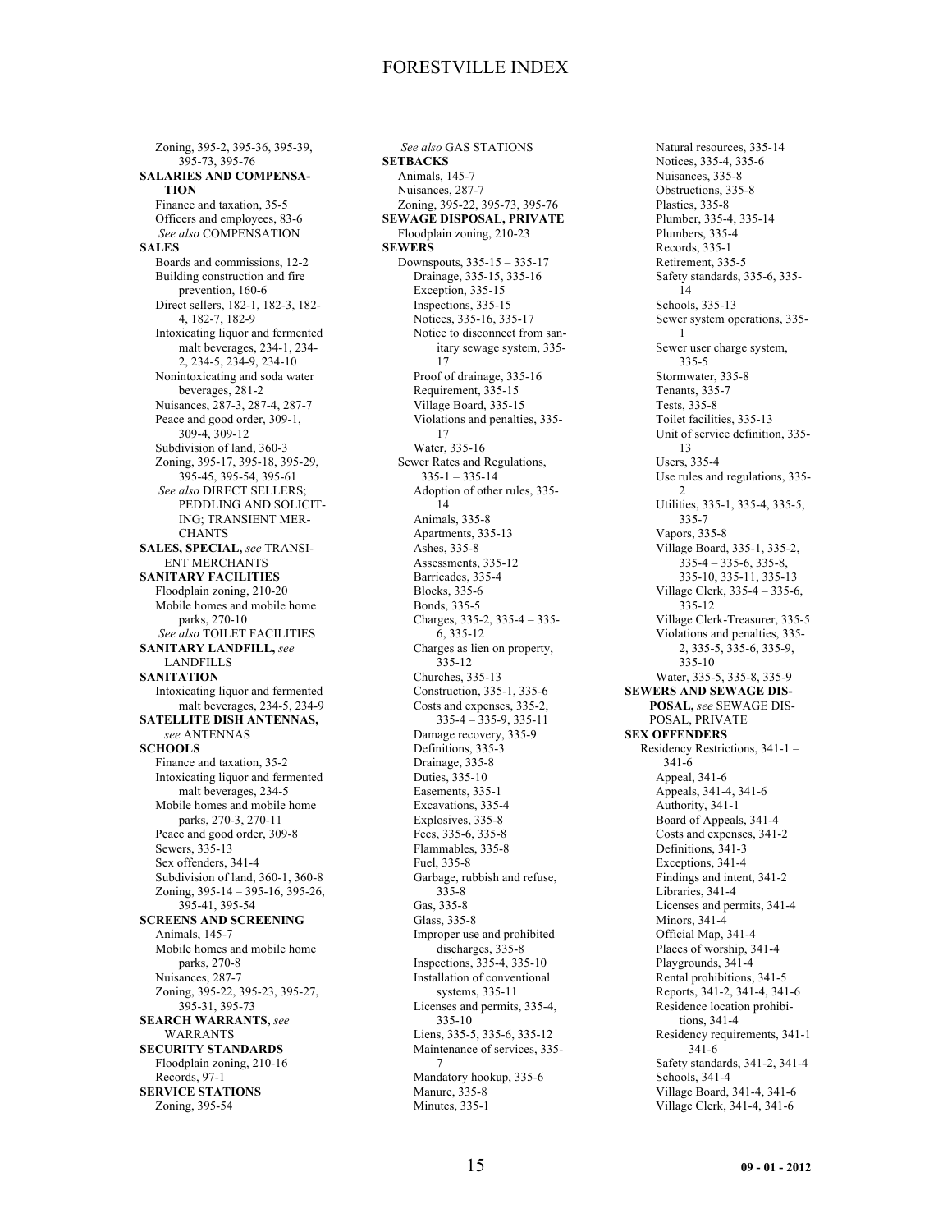Zoning, 395-2, 395-36, 395-39, 395-73, 395-76 **SALARIES AND COMPENSA-TION** Finance and taxation, 35-5 Officers and employees, 83-6 *See also* COMPENSATION **SALES** Boards and commissions, 12-2 Building construction and fire prevention, 160-6 Direct sellers, 182-1, 182-3, 182- 4, 182-7, 182-9 Intoxicating liquor and fermented malt beverages, 234-1, 234- 2, 234-5, 234-9, 234-10 Nonintoxicating and soda water beverages, 281-2 Nuisances, 287-3, 287-4, 287-7 Peace and good order, 309-1, 309-4, 309-12 Subdivision of land, 360-3 Zoning, 395-17, 395-18, 395-29, 395-45, 395-54, 395-61 *See also* DIRECT SELLERS; PEDDLING AND SOLICIT-ING; TRANSIENT MER-CHANTS **SALES, SPECIAL,** *see* TRANSI-ENT MERCHANTS **SANITARY FACILITIES** Floodplain zoning, 210-20 Mobile homes and mobile home parks, 270-10 *See also* TOILET FACILITIES **SANITARY LANDFILL,** *see* LANDFILLS **SANITATION** Intoxicating liquor and fermented malt beverages, 234-5, 234-9 **SATELLITE DISH ANTENNAS,** *see* ANTENNAS **SCHOOLS** Finance and taxation, 35-2 Intoxicating liquor and fermented malt beverages, 234-5 Mobile homes and mobile home parks, 270-3, 270-11 Peace and good order, 309-8 Sewers, 335-13 Sex offenders, 341-4 Subdivision of land, 360-1, 360-8 Zoning, 395-14 – 395-16, 395-26, 395-41, 395-54 **SCREENS AND SCREENING** Animals, 145-7 Mobile homes and mobile home parks, 270-8 Nuisances, 287-7 Zoning, 395-22, 395-23, 395-27, 395-31, 395-73 **SEARCH WARRANTS,** *see* WARRANTS **SECURITY STANDARDS** Floodplain zoning, 210-16 Records, 97-1 **SERVICE STATIONS** Zoning, 395-54

*See also* GAS STATIONS **SETBACKS** Animals, 145-7 Nuisances, 287-7 Zoning, 395-22, 395-73, 395-76 **SEWAGE DISPOSAL, PRIVATE** Floodplain zoning, 210-23 **SEWERS** Downspouts, 335-15 – 335-17 Drainage, 335-15, 335-16 Exception, 335-15 Inspections, 335-15 Notices, 335-16, 335-17 Notice to disconnect from sanitary sewage system, 335- 17 Proof of drainage, 335-16 Requirement, 335-15 Village Board, 335-15 Violations and penalties, 335- 17 Water, 335-16 Sewer Rates and Regulations, 335-1 – 335-14 Adoption of other rules, 335- 14 Animals, 335-8 Apartments, 335-13 Ashes, 335-8 Assessments, 335-12 Barricades, 335-4 Blocks, 335-6 Bonds, 335-5 Charges, 335-2, 335-4 – 335- 6, 335-12 Charges as lien on property, 335-12 Churches, 335-13 Construction, 335-1, 335-6 Costs and expenses, 335-2, 335-4 – 335-9, 335-11 Damage recovery, 335-9 Definitions, 335-3 Drainage, 335-8 Duties, 335-10 Easements, 335-1 Excavations, 335-4 Explosives, 335-8 Fees, 335-6, 335-8 Flammables, 335-8 Fuel, 335-8 Garbage, rubbish and refuse, 335-8 Gas, 335-8 Glass, 335-8 Improper use and prohibited discharges, 335-8 Inspections, 335-4, 335-10 Installation of conventional systems, 335-11 Licenses and permits, 335-4, 335-10 Liens, 335-5, 335-6, 335-12 Maintenance of services, 335- 7 Mandatory hookup, 335-6 Manure, 335-8 Minutes, 335-1

Natural resources, 335-14 Notices, 335-4, 335-6 Nuisances, 335-8 Obstructions, 335-8 Plastics, 335-8 Plumber, 335-4, 335-14 Plumbers, 335-4 Records, 335-1 Retirement, 335-5 Safety standards, 335-6, 335- 14 Schools, 335-13 Sewer system operations, 335- 1 Sewer user charge system, 335-5 Stormwater, 335-8 Tenants, 335-7 Tests, 335-8 Toilet facilities, 335-13 Unit of service definition, 335- 13 Users, 335-4 Use rules and regulations, 335-  $\mathcal{D}$ Utilities, 335-1, 335-4, 335-5, 335-7 Vapors, 335-8 Village Board, 335-1, 335-2,  $335-4 - 335-6, 335-8,$ 335-10, 335-11, 335-13 Village Clerk, 335-4 – 335-6, 335-12 Village Clerk-Treasurer, 335-5 Violations and penalties, 335- 2, 335-5, 335-6, 335-9, 335-10 Water, 335-5, 335-8, 335-9 **SEWERS AND SEWAGE DIS-POSAL,** *see* SEWAGE DIS-POSAL, PRIVATE **SEX OFFENDERS** Residency Restrictions, 341-1 – 341-6 Appeal, 341-6 Appeals, 341-4, 341-6 Authority, 341-1 Board of Appeals, 341-4 Costs and expenses, 341-2 Definitions, 341-3 Exceptions, 341-4 Findings and intent, 341-2 Libraries, 341-4 Licenses and permits, 341-4 Minors, 341-4 Official Map, 341-4 Places of worship, 341-4 Playgrounds, 341-4 Rental prohibitions, 341-5 Reports, 341-2, 341-4, 341-6 Residence location prohibitions, 341-4 Residency requirements, 341-1  $-341-6$ Safety standards, 341-2, 341-4 Schools, 341-4 Village Board, 341-4, 341-6 Village Clerk, 341-4, 341-6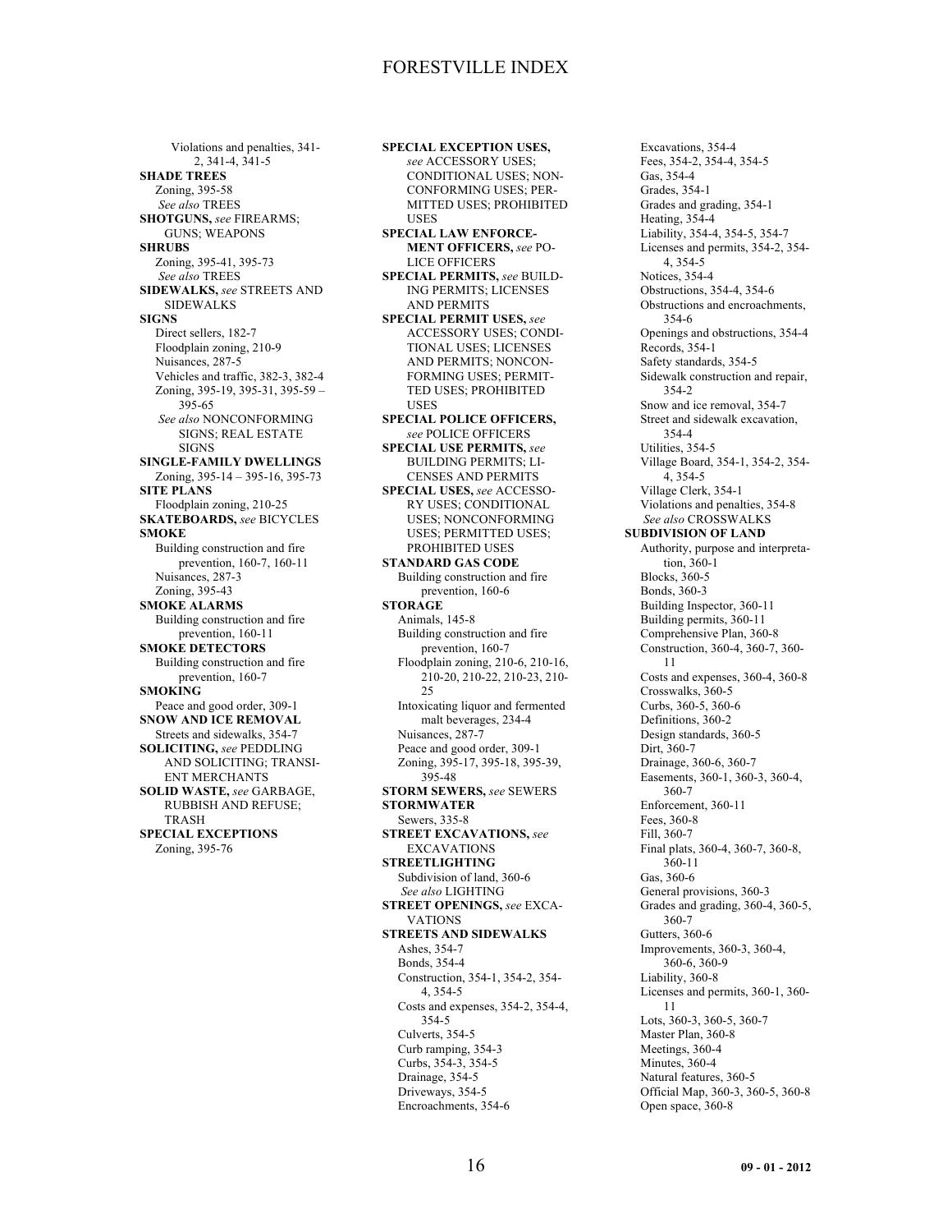Violations and penalties, 341- 2, 341-4, 341-5 **SHADE TREES** Zoning, 395-58 *See also* TREES **SHOTGUNS,** *see* FIREARMS; GUNS; WEAPONS **SHRUBS** Zoning, 395-41, 395-73 *See also* TREES **SIDEWALKS,** *see* STREETS AND SIDEWALKS **SIGNS** Direct sellers, 182-7 Floodplain zoning, 210-9 Nuisances, 287-5 Vehicles and traffic, 382-3, 382-4 Zoning, 395-19, 395-31, 395-59 – 395-65 *See also* NONCONFORMING SIGNS; REAL ESTATE SIGNS **SINGLE-FAMILY DWELLINGS** Zoning, 395-14 – 395-16, 395-73 **SITE PLANS** Floodplain zoning, 210-25 **SKATEBOARDS,** *see* BICYCLES **SMOKE** Building construction and fire prevention, 160-7, 160-11 Nuisances, 287-3 Zoning, 395-43 **SMOKE ALARMS** Building construction and fire prevention, 160-11 **SMOKE DETECTORS** Building construction and fire prevention, 160-7 **SMOKING** Peace and good order, 309-1 **SNOW AND ICE REMOVAL** Streets and sidewalks, 354-7 **SOLICITING,** *see* PEDDLING AND SOLICITING; TRANSI-ENT MERCHANTS **SOLID WASTE,** *see* GARBAGE, RUBBISH AND REFUSE; TRASH **SPECIAL EXCEPTIONS** Zoning, 395-76

**SPECIAL EXCEPTION USES,** *see* ACCESSORY USES; CONDITIONAL USES; NON-CONFORMING USES; PER-MITTED USES; PROHIBITED USES **SPECIAL LAW ENFORCE-MENT OFFICERS,** *see* PO-LICE OFFICERS **SPECIAL PERMITS,** *see* BUILD-ING PERMITS; LICENSES AND PERMITS **SPECIAL PERMIT USES,** *see* ACCESSORY USES; CONDI-TIONAL USES; LICENSES AND PERMITS; NONCON-FORMING USES; PERMIT-TED USES; PROHIBITED USES **SPECIAL POLICE OFFICERS,** *see* POLICE OFFICERS **SPECIAL USE PERMITS,** *see* BUILDING PERMITS; LI-CENSES AND PERMITS **SPECIAL USES,** *see* ACCESSO-RY USES; CONDITIONAL USES; NONCONFORMING USES; PERMITTED USES; PROHIBITED USES **STANDARD GAS CODE** Building construction and fire prevention, 160-6 **STORAGE** Animals, 145-8 Building construction and fire prevention, 160-7 Floodplain zoning, 210-6, 210-16, 210-20, 210-22, 210-23, 210- 25 Intoxicating liquor and fermented malt beverages, 234-4 Nuisances, 287-7 Peace and good order, 309-1 Zoning, 395-17, 395-18, 395-39, 395-48 **STORM SEWERS,** *see* SEWERS **STORMWATER** Sewers, 335-8 **STREET EXCAVATIONS,** *see* EXCAVATIONS **STREETLIGHTING** Subdivision of land, 360-6 *See also* LIGHTING **STREET OPENINGS,** *see* EXCA-VATIONS **STREETS AND SIDEWALKS** Ashes, 354-7 Bonds, 354-4 Construction, 354-1, 354-2, 354- 4, 354-5 Costs and expenses, 354-2, 354-4, 354-5 Culverts, 354-5 Curb ramping, 354-3 Curbs, 354-3, 354-5 Drainage, 354-5 Driveways, 354-5 Encroachments, 354-6

Excavations, 354-4 Fees, 354-2, 354-4, 354-5 Gas, 354-4 Grades, 354-1 Grades and grading, 354-1 Heating, 354-4 Liability, 354-4, 354-5, 354-7 Licenses and permits, 354-2, 354- 4, 354-5 Notices, 354-4 Obstructions, 354-4, 354-6 Obstructions and encroachments, 354-6 Openings and obstructions, 354-4 Records, 354-1 Safety standards, 354-5 Sidewalk construction and repair, 354-2 Snow and ice removal, 354-7 Street and sidewalk excavation, 354-4 Utilities, 354-5 Village Board, 354-1, 354-2, 354- 4, 354-5 Village Clerk, 354-1 Violations and penalties, 354-8 *See also* CROSSWALKS **SUBDIVISION OF LAND** Authority, purpose and interpretation, 360-1 Blocks, 360-5 Bonds, 360-3 Building Inspector, 360-11 Building permits, 360-11 Comprehensive Plan, 360-8 Construction, 360-4, 360-7, 360- 11 Costs and expenses, 360-4, 360-8 Crosswalks, 360-5 Curbs, 360-5, 360-6 Definitions, 360-2 Design standards, 360-5 Dirt, 360-7 Drainage, 360-6, 360-7 Easements, 360-1, 360-3, 360-4, 360-7 Enforcement, 360-11 Fees, 360-8 Fill, 360-7 Final plats, 360-4, 360-7, 360-8, 360-11 Gas, 360-6 General provisions, 360-3 Grades and grading, 360-4, 360-5, 360-7 Gutters, 360-6 Improvements, 360-3, 360-4, 360-6, 360-9 Liability, 360-8 Licenses and permits, 360-1, 360- 11 Lots, 360-3, 360-5, 360-7 Master Plan, 360-8 Meetings, 360-4 Minutes, 360-4 Natural features, 360-5 Official Map, 360-3, 360-5, 360-8 Open space, 360-8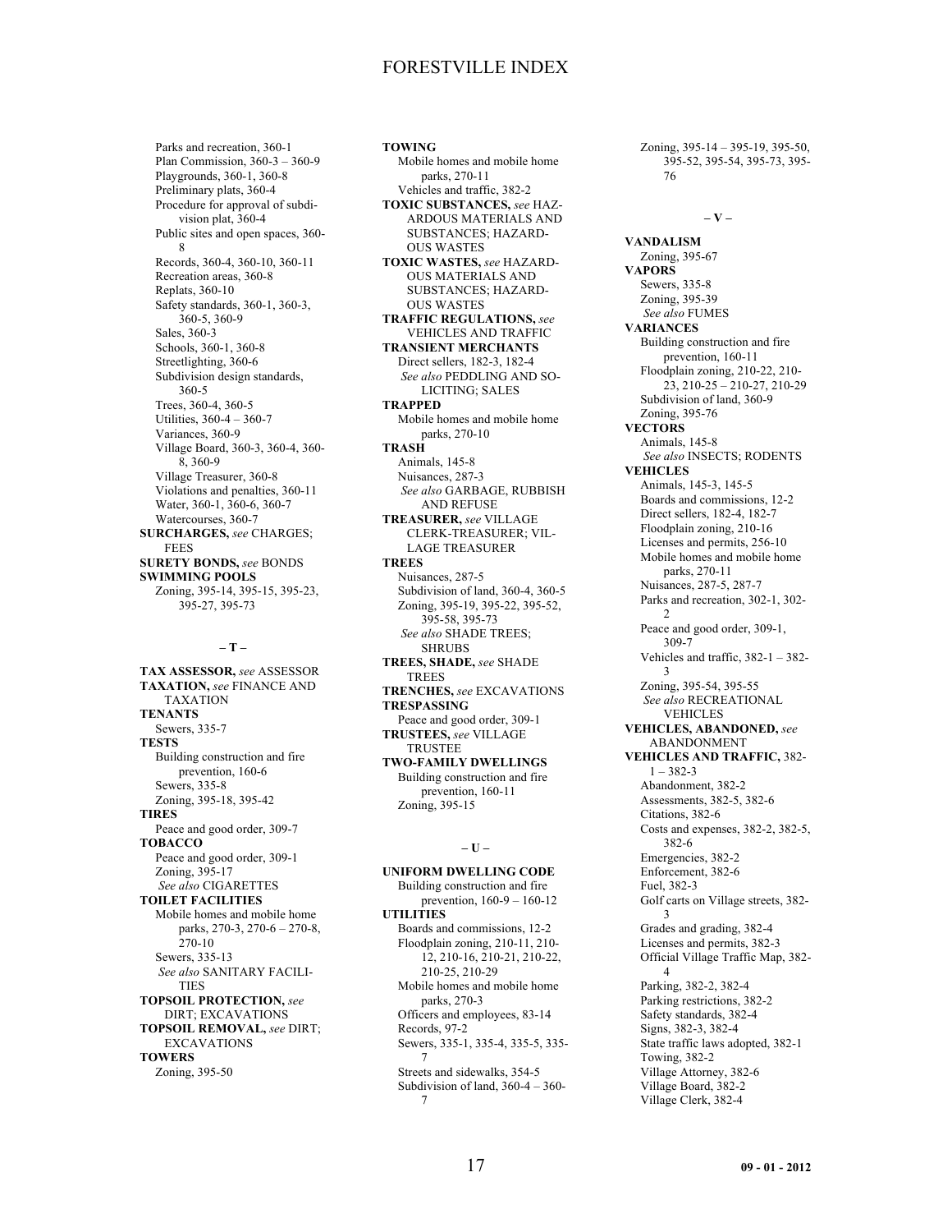Parks and recreation, 360-1 Plan Commission, 360-3 – 360-9 Playgrounds, 360-1, 360-8 Preliminary plats, 360-4 Procedure for approval of subdivision plat, 360-4 Public sites and open spaces, 360- 8 Records, 360-4, 360-10, 360-11 Recreation areas, 360-8 Replats, 360-10 Safety standards, 360-1, 360-3, 360-5, 360-9 Sales, 360-3 Schools, 360-1, 360-8 Streetlighting, 360-6 Subdivision design standards, 360-5 Trees, 360-4, 360-5 Utilities, 360-4 – 360-7 Variances, 360-9 Village Board, 360-3, 360-4, 360- 8, 360-9 Village Treasurer, 360-8 Violations and penalties, 360-11 Water, 360-1, 360-6, 360-7 Watercourses, 360-7 **SURCHARGES,** *see* CHARGES; **FEES SURETY BONDS,** *see* BONDS **SWIMMING POOLS** Zoning, 395-14, 395-15, 395-23, 395-27, 395-73

#### **– T –**

**TAX ASSESSOR,** *see* ASSESSOR **TAXATION,** *see* FINANCE AND TAXATION **TENANTS** Sewers, 335-7 **TESTS** Building construction and fire prevention, 160-6 Sewers, 335-8 Zoning, 395-18, 395-42 **TIRES** Peace and good order, 309-7 **TOBACCO** Peace and good order, 309-1 Zoning, 395-17 *See also* CIGARETTES **TOILET FACILITIES** Mobile homes and mobile home parks, 270-3, 270-6 – 270-8, 270-10 Sewers, 335-13 *See also* SANITARY FACILI-TIES **TOPSOIL PROTECTION,** *see* DIRT; EXCAVATIONS **TOPSOIL REMOVAL,** *see* DIRT; EXCAVATIONS **TOWERS** Zoning, 395-50

**TOWING** Mobile homes and mobile home parks, 270-11 Vehicles and traffic, 382-2 **TOXIC SUBSTANCES,** *see* HAZ-ARDOUS MATERIALS AND SUBSTANCES; HAZARD-OUS WASTES **TOXIC WASTES,** *see* HAZARD-OUS MATERIALS AND SUBSTANCES; HAZARD-OUS WASTES **TRAFFIC REGULATIONS,** *see* VEHICLES AND TRAFFIC **TRANSIENT MERCHANTS** Direct sellers, 182-3, 182-4 *See also* PEDDLING AND SO-LICITING; SALES **TRAPPED** Mobile homes and mobile home parks, 270-10 **TRASH** Animals, 145-8 Nuisances, 287-3 *See also* GARBAGE, RUBBISH AND REFUSE **TREASURER,** *see* VILLAGE CLERK-TREASURER; VIL-LAGE TREASURER **TREES** Nuisances, 287-5 Subdivision of land, 360-4, 360-5 Zoning, 395-19, 395-22, 395-52, 395-58, 395-73 *See also* SHADE TREES; SHRUBS **TREES, SHADE,** *see* SHADE TREES **TRENCHES,** *see* EXCAVATIONS **TRESPASSING** Peace and good order, 309-1 **TRUSTEES,** *see* VILLAGE TRUSTEE **TWO-FAMILY DWELLINGS** Building construction and fire prevention, 160-11 Zoning, 395-15

#### **– U –**

**UNIFORM DWELLING CODE** Building construction and fire prevention, 160-9 – 160-12 **UTILITIES** Boards and commissions, 12-2 Floodplain zoning, 210-11, 210- 12, 210-16, 210-21, 210-22, 210-25, 210-29 Mobile homes and mobile home parks, 270-3 Officers and employees, 83-14 Records, 97-2 Sewers, 335-1, 335-4, 335-5, 335- 7 Streets and sidewalks, 354-5 Subdivision of land, 360-4 – 360- 7

Zoning, 395-14 – 395-19, 395-50, 395-52, 395-54, 395-73, 395- 76

#### **– V –**

**VANDALISM** Zoning, 395-67 **VAPORS** Sewers, 335-8 Zoning, 395-39 *See also* FUMES **VARIANCES** Building construction and fire prevention, 160-11 Floodplain zoning, 210-22, 210- 23, 210-25 – 210-27, 210-29 Subdivision of land, 360-9 Zoning, 395-76 **VECTORS** Animals, 145-8 *See also* INSECTS; RODENTS **VEHICLES** Animals, 145-3, 145-5 Boards and commissions, 12-2 Direct sellers, 182-4, 182-7 Floodplain zoning, 210-16 Licenses and permits, 256-10 Mobile homes and mobile home parks, 270-11 Nuisances, 287-5, 287-7 Parks and recreation, 302-1, 302-  $\gamma$ Peace and good order, 309-1, 309-7 Vehicles and traffic, 382-1 – 382- 3 Zoning, 395-54, 395-55 *See also* RECREATIONAL VEHICLES **VEHICLES, ABANDONED,** *see* ABANDONMENT **VEHICLES AND TRAFFIC,** 382- 1 – 382-3 Abandonment, 382-2 Assessments, 382-5, 382-6 Citations, 382-6 Costs and expenses, 382-2, 382-5, 382-6 Emergencies, 382-2 Enforcement, 382-6 Fuel, 382-3 Golf carts on Village streets, 382- 3 Grades and grading, 382-4 Licenses and permits, 382-3 Official Village Traffic Map, 382- 4 Parking, 382-2, 382-4 Parking restrictions, 382-2 Safety standards, 382-4 Signs, 382-3, 382-4 State traffic laws adopted, 382-1 Towing, 382-2 Village Attorney, 382-6 Village Board, 382-2 Village Clerk, 382-4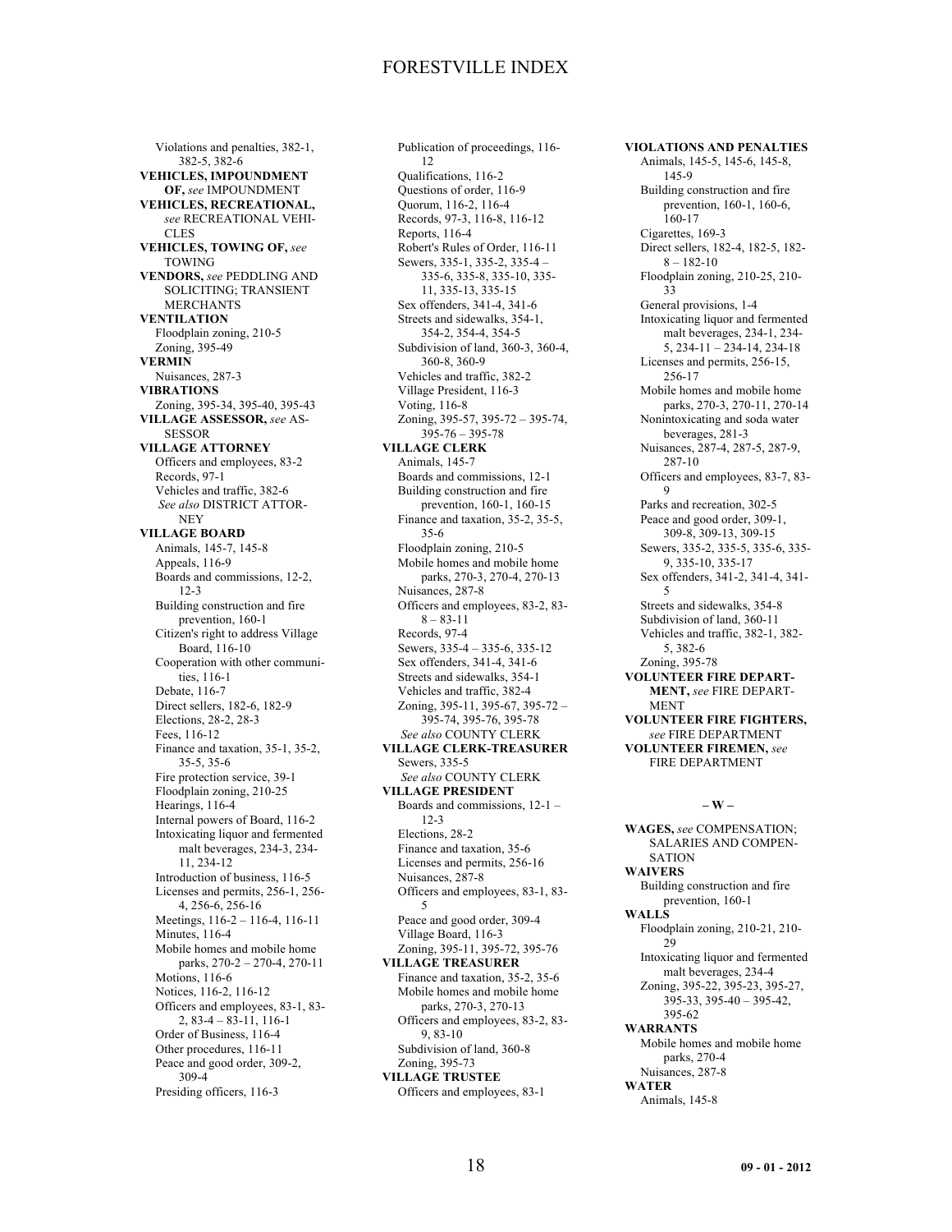Violations and penalties, 382-1, 382-5, 382-6 **VEHICLES, IMPOUNDMENT OF,** *see* IMPOUNDMENT **VEHICLES, RECREATIONAL,** *see* RECREATIONAL VEHI-CLES **VEHICLES, TOWING OF,** *see* TOWING **VENDORS,** *see* PEDDLING AND SOLICITING; TRANSIENT MERCHANTS **VENTILATION** Floodplain zoning, 210-5 Zoning, 395-49 **VERMIN** Nuisances, 287-3 **VIBRATIONS** Zoning, 395-34, 395-40, 395-43 **VILLAGE ASSESSOR,** *see* AS-**SESSOR VILLAGE ATTORNEY** Officers and employees, 83-2 Records, 97-1 Vehicles and traffic, 382-6 *See also* DISTRICT ATTOR-**NEV VILLAGE BOARD** Animals, 145-7, 145-8 Appeals, 116-9 Boards and commissions, 12-2, 12-3 Building construction and fire prevention, 160-1 Citizen's right to address Village Board, 116-10 Cooperation with other communities, 116-1 Debate, 116-7 Direct sellers, 182-6, 182-9 Elections, 28-2, 28-3 Fees, 116-12 Finance and taxation, 35-1, 35-2, 35-5, 35-6 Fire protection service, 39-1 Floodplain zoning, 210-25 Hearings, 116-4 Internal powers of Board, 116-2 Intoxicating liquor and fermented malt beverages, 234-3, 234- 11, 234-12 Introduction of business, 116-5 Licenses and permits, 256-1, 256- 4, 256-6, 256-16 Meetings, 116-2 – 116-4, 116-11 Minutes, 116-4 Mobile homes and mobile home parks, 270-2 – 270-4, 270-11 Motions, 116-6 Notices, 116-2, 116-12 Officers and employees, 83-1, 83-  $2, 83-4-83-11, 116-1$ Order of Business, 116-4 Other procedures, 116-11 Peace and good order, 309-2, 309-4 Presiding officers, 116-3

Publication of proceedings, 116- 12 Qualifications, 116-2 Questions of order, 116-9 Quorum, 116-2, 116-4 Records, 97-3, 116-8, 116-12 Reports, 116-4 Robert's Rules of Order, 116-11 Sewers, 335-1, 335-2, 335-4 – 335-6, 335-8, 335-10, 335- 11, 335-13, 335-15 Sex offenders, 341-4, 341-6 Streets and sidewalks, 354-1, 354-2, 354-4, 354-5 Subdivision of land, 360-3, 360-4, 360-8, 360-9 Vehicles and traffic, 382-2 Village President, 116-3 Voting, 116-8 Zoning, 395-57, 395-72 – 395-74, 395-76 – 395-78 **VILLAGE CLERK** Animals, 145-7 Boards and commissions, 12-1 Building construction and fire prevention, 160-1, 160-15 Finance and taxation, 35-2, 35-5, 35-6 Floodplain zoning, 210-5 Mobile homes and mobile home parks, 270-3, 270-4, 270-13 Nuisances, 287-8 Officers and employees, 83-2, 83-  $8 - 83 - 11$ Records, 97-4 Sewers, 335-4 – 335-6, 335-12 Sex offenders, 341-4, 341-6 Streets and sidewalks, 354-1 Vehicles and traffic, 382-4 Zoning, 395-11, 395-67, 395-72 – 395-74, 395-76, 395-78 *See also* COUNTY CLERK **VILLAGE CLERK-TREASURER** Sewers, 335-5 *See also* COUNTY CLERK **VILLAGE PRESIDENT** Boards and commissions, 12-1 – 12-3 Elections, 28-2 Finance and taxation, 35-6 Licenses and permits, 256-16 Nuisances, 287-8 Officers and employees, 83-1, 83- 5 Peace and good order, 309-4 Village Board, 116-3 Zoning, 395-11, 395-72, 395-76 **VILLAGE TREASURER** Finance and taxation, 35-2, 35-6 Mobile homes and mobile home parks, 270-3, 270-13 Officers and employees, 83-2, 83- 9, 83-10 Subdivision of land, 360-8 Zoning, 395-73 **VILLAGE TRUSTEE** Officers and employees, 83-1

**VIOLATIONS AND PENALTIES** Animals, 145-5, 145-6, 145-8, 145-9 Building construction and fire prevention, 160-1, 160-6, 160-17 Cigarettes, 169-3 Direct sellers, 182-4, 182-5, 182-  $8 - 182 - 10$ Floodplain zoning, 210-25, 210- 33 General provisions, 1-4 Intoxicating liquor and fermented malt beverages, 234-1, 234- 5, 234-11 – 234-14, 234-18 Licenses and permits, 256-15, 256-17 Mobile homes and mobile home parks, 270-3, 270-11, 270-14 Nonintoxicating and soda water beverages, 281-3 Nuisances, 287-4, 287-5, 287-9, 287-10 Officers and employees, 83-7, 83-  $\Omega$ Parks and recreation, 302-5 Peace and good order, 309-1, 309-8, 309-13, 309-15 Sewers, 335-2, 335-5, 335-6, 335- 9, 335-10, 335-17 Sex offenders, 341-2, 341-4, 341- 5 Streets and sidewalks, 354-8 Subdivision of land, 360-11 Vehicles and traffic, 382-1, 382- 5, 382-6 Zoning, 395-78 **VOLUNTEER FIRE DEPART-MENT,** *see* FIRE DEPART-MENT **VOLUNTEER FIRE FIGHTERS,** *see* FIRE DEPARTMENT **VOLUNTEER FIREMEN,** *see* FIRE DEPARTMENT **– W –**

**WAGES,** *see* COMPENSATION; SALARIES AND COMPEN-SATION **WAIVERS** Building construction and fire prevention, 160-1 **WALLS** Floodplain zoning, 210-21, 210- 29 Intoxicating liquor and fermented malt beverages, 234-4 Zoning, 395-22, 395-23, 395-27, 395-33, 395-40 – 395-42, 395-62 **WARRANTS** Mobile homes and mobile home parks, 270-4 Nuisances, 287-8 **WATER** Animals, 145-8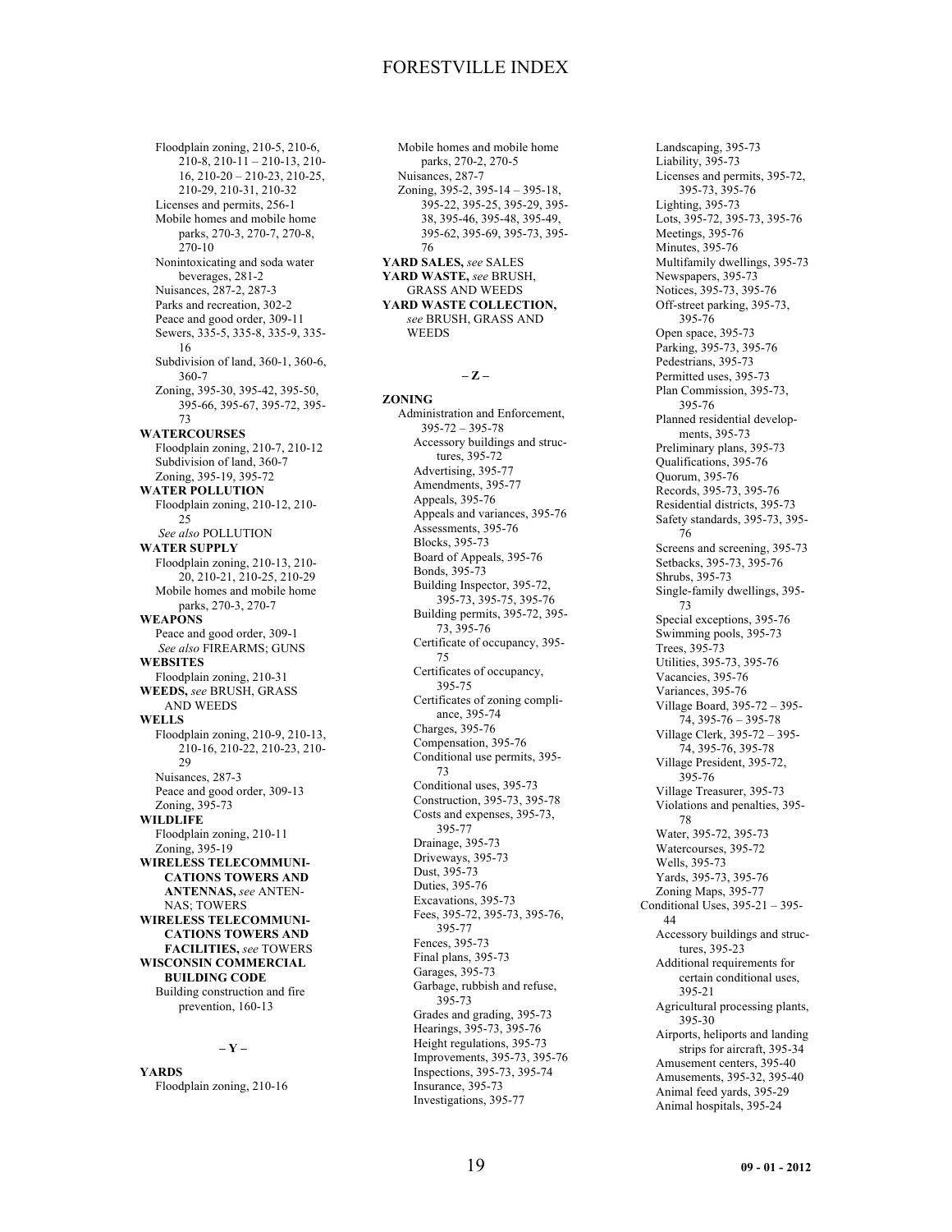Floodplain zoning, 210-5, 210-6,  $210-8$ ,  $210-11-210-13$ ,  $210-$ 16, 210-20 – 210-23, 210-25, 210-29, 210-31, 210-32 Licenses and permits, 256-1 Mobile homes and mobile home parks, 270-3, 270-7, 270-8,  $270-10$ Nonintoxicating and soda water beverages, 281-2 Nuisances, 287-2, 287-3 Parks and recreation, 302-2 Peace and good order, 309-11 Sewers, 335-5, 335-8, 335-9, 335- 16 Subdivision of land, 360-1, 360-6, 360-7 Zoning, 395-30, 395-42, 395-50, 395-66, 395-67, 395-72, 395- 73 **WATERCOURSES** Floodplain zoning, 210-7, 210-12 Subdivision of land, 360-7 Zoning, 395-19, 395-72 **WATER POLLUTION** Floodplain zoning, 210-12, 210-  $25$ *See also* POLLUTION **WATER SUPPLY** Floodplain zoning, 210-13, 210- 20, 210-21, 210-25, 210-29 Mobile homes and mobile home parks, 270-3, 270-7 **WEAPONS** Peace and good order, 309-1 *See also* FIREARMS; GUNS **WEBSITES** Floodplain zoning, 210-31 **WEEDS,** *see* BRUSH, GRASS AND WEEDS **WELLS** Floodplain zoning, 210-9, 210-13, 210-16, 210-22, 210-23, 210-  $29$ Nuisances, 287-3 Peace and good order, 309-13 Zoning, 395-73 **WILDLIFE** Floodplain zoning, 210-11 Zoning, 395-19 **WIRELESS TELECOMMUNI-CATIONS TOWERS AND ANTENNAS,** *see* ANTEN-NAS; TOWERS **WIRELESS TELECOMMUNI-CATIONS TOWERS AND FACILITIES,** *see* TOWERS **WISCONSIN COMMERCIAL BUILDING CODE** Building construction and fire prevention, 160-13

### **– Y –**

**YARDS** Floodplain zoning, 210-16

Mobile homes and mobile home parks, 270-2, 270-5 Nuisances, 287-7 Zoning, 395-2, 395-14 – 395-18, 395-22, 395-25, 395-29, 395- 38, 395-46, 395-48, 395-49, 395-62, 395-69, 395-73, 395- 76 **YARD SALES,** *see* SALES **YARD WASTE,** *see* BRUSH, GRASS AND WEEDS **YARD WASTE COLLECTION,**

*see* BRUSH, GRASS AND **WEEDS** 

#### **– Z –**

**ZONING** Administration and Enforcement, 395-72 – 395-78 Accessory buildings and structures, 395-72 Advertising, 395-77 Amendments, 395-77 Appeals, 395-76 Appeals and variances, 395-76 Assessments, 395-76 Blocks, 395-73 Board of Appeals, 395-76 Bonds, 395-73 Building Inspector, 395-72, 395-73, 395-75, 395-76 Building permits, 395-72, 395- 73, 395-76 Certificate of occupancy, 395- 75 Certificates of occupancy, 395-75 Certificates of zoning compliance, 395-74 Charges, 395-76 Compensation, 395-76 Conditional use permits, 395- 73 Conditional uses, 395-73 Construction, 395-73, 395-78 Costs and expenses, 395-73, 395-77 Drainage, 395-73 Driveways, 395-73 Dust, 395-73 Duties, 395-76 Excavations, 395-73 Fees, 395-72, 395-73, 395-76, 395-77 Fences, 395-73 Final plans, 395-73 Garages, 395-73 Garbage, rubbish and refuse, 395-73 Grades and grading, 395-73 Hearings, 395-73, 395-76 Height regulations, 395-73 Improvements, 395-73, 395-76 Inspections, 395-73, 395-74 Insurance, 395-73 Investigations, 395-77

Landscaping, 395-73 Liability, 395-73 Licenses and permits, 395-72, 395-73, 395-76 Lighting, 395-73 Lots, 395-72, 395-73, 395-76 Meetings, 395-76 Minutes, 395-76 Multifamily dwellings, 395-73 Newspapers, 395-73 Notices, 395-73, 395-76 Off-street parking, 395-73, 395-76 Open space, 395-73 Parking, 395-73, 395-76 Pedestrians, 395-73 Permitted uses, 395-73 Plan Commission, 395-73, 395-76 Planned residential developments, 395-73 Preliminary plans, 395-73 Qualifications, 395-76 Quorum, 395-76 Records, 395-73, 395-76 Residential districts, 395-73 Safety standards, 395-73, 395- 76 Screens and screening, 395-73 Setbacks, 395-73, 395-76 Shrubs, 395-73 Single-family dwellings, 395- 73 Special exceptions, 395-76 Swimming pools, 395-73 Trees, 395-73 Utilities, 395-73, 395-76 Vacancies, 395-76 Variances, 395-76 Village Board, 395-72 – 395-  $74, 395 - 76 - 395 - 78$ Village Clerk, 395-72 – 395- 74, 395-76, 395-78 Village President, 395-72, 395-76 Village Treasurer, 395-73 Violations and penalties, 395- 78 Water, 395-72, 395-73 Watercourses, 395-72 Wells, 395-73 Yards, 395-73, 395-76 Zoning Maps, 395-77 Conditional Uses, 395-21 – 395- 44 Accessory buildings and structures, 395-23 Additional requirements for certain conditional uses, 395-21 Agricultural processing plants, 395-30 Airports, heliports and landing strips for aircraft, 395-34 Amusement centers, 395-40 Amusements, 395-32, 395-40 Animal feed yards, 395-29 Animal hospitals, 395-24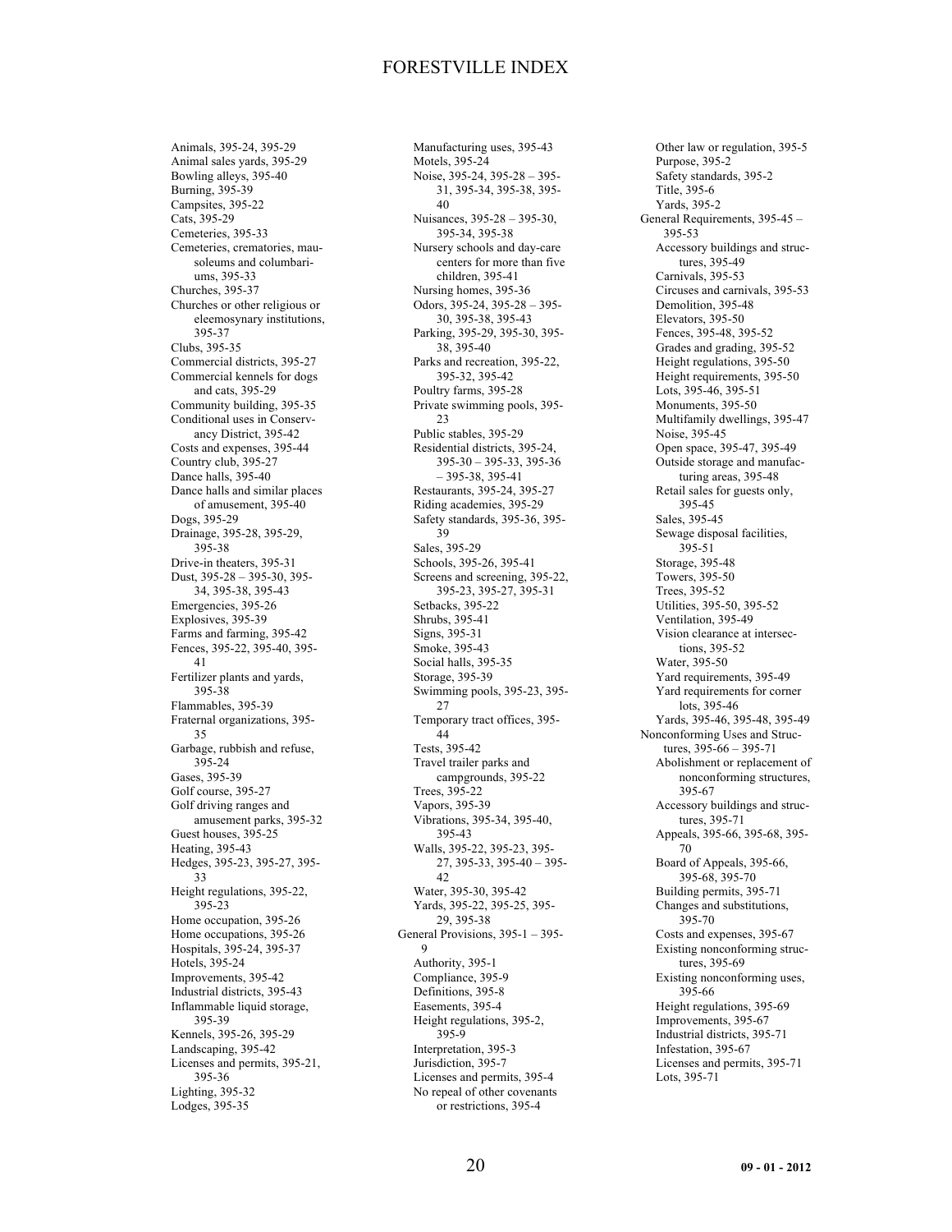Animals, 395-24, 395-29 Animal sales yards, 395-29 Bowling alleys, 395-40 Burning, 395-39 Campsites, 395-22 Cats, 395-29 Cemeteries, 395-33 Cemeteries, crematories, mausoleums and columbariums, 395-33 Churches, 395-37 Churches or other religious or eleemosynary institutions, 395-37 Clubs, 395-35 Commercial districts, 395-27 Commercial kennels for dogs and cats, 395-29 Community building, 395-35 Conditional uses in Conservancy District, 395-42 Costs and expenses, 395-44 Country club, 395-27 Dance halls, 395-40 Dance halls and similar places of amusement, 395-40 Dogs, 395-29 Drainage, 395-28, 395-29, 395-38 Drive-in theaters, 395-31 Dust, 395-28 – 395-30, 395- 34, 395-38, 395-43 Emergencies, 395-26 Explosives, 395-39 Farms and farming, 395-42 Fences, 395-22, 395-40, 395- 41 Fertilizer plants and yards, 395-38 Flammables, 395-39 Fraternal organizations, 395- 35 Garbage, rubbish and refuse, 395-24 Gases, 395-39 Golf course, 395-27 Golf driving ranges and amusement parks, 395-32 Guest houses, 395-25 Heating, 395-43 Hedges, 395-23, 395-27, 395- 33 Height regulations, 395-22, 395-23 Home occupation, 395-26 Home occupations, 395-26 Hospitals, 395-24, 395-37 Hotels, 395-24 Improvements, 395-42 Industrial districts, 395-43 Inflammable liquid storage, 395-39 Kennels, 395-26, 395-29 Landscaping, 395-42 Licenses and permits, 395-21, 395-36 Lighting, 395-32 Lodges, 395-35

Manufacturing uses, 395-43 Motels, 395-24 Noise, 395-24, 395-28 – 395- 31, 395-34, 395-38, 395- 40 Nuisances, 395-28 – 395-30, 395-34, 395-38 Nursery schools and day-care centers for more than five children, 395-41 Nursing homes, 395-36 Odors, 395-24, 395-28 – 395- 30, 395-38, 395-43 Parking, 395-29, 395-30, 395- 38, 395-40 Parks and recreation, 395-22, 395-32, 395-42 Poultry farms, 395-28 Private swimming pools, 395- 23 Public stables, 395-29 Residential districts, 395-24, 395-30 – 395-33, 395-36 – 395-38, 395-41 Restaurants, 395-24, 395-27 Riding academies, 395-29 Safety standards, 395-36, 395- 39 Sales, 395-29 Schools, 395-26, 395-41 Screens and screening, 395-22, 395-23, 395-27, 395-31 Setbacks, 395-22 Shrubs, 395-41 Signs, 395-31 Smoke, 395-43 Social halls, 395-35 Storage, 395-39 Swimming pools, 395-23, 395- 27 Temporary tract offices, 395- 44 Tests, 395-42 Travel trailer parks and campgrounds, 395-22 Trees, 395-22 Vapors, 395-39 Vibrations, 395-34, 395-40, 395-43 Walls, 395-22, 395-23, 395- 27, 395-33, 395-40 – 395- 42 Water, 395-30, 395-42 Yards, 395-22, 395-25, 395- 29, 395-38 General Provisions, 395-1 – 395- 9 Authority, 395-1 Compliance, 395-9 Definitions, 395-8 Easements, 395-4 Height regulations, 395-2, 395-9 Interpretation, 395-3 Jurisdiction, 395-7 Licenses and permits, 395-4 No repeal of other covenants or restrictions, 395-4

Other law or regulation, 395-5 Purpose, 395-2 Safety standards, 395-2 Title, 395-6 Yards, 395-2 General Requirements, 395-45 – 395-53 Accessory buildings and structures, 395-49 Carnivals, 395-53 Circuses and carnivals, 395-53 Demolition, 395-48 Elevators, 395-50 Fences, 395-48, 395-52 Grades and grading, 395-52 Height regulations, 395-50 Height requirements, 395-50 Lots, 395-46, 395-51 Monuments, 395-50 Multifamily dwellings, 395-47 Noise, 395-45 Open space, 395-47, 395-49 Outside storage and manufacturing areas, 395-48 Retail sales for guests only, 395-45 Sales, 395-45 Sewage disposal facilities, 395-51 Storage, 395-48 Towers, 395-50 Trees, 395-52 Utilities, 395-50, 395-52 Ventilation, 395-49 Vision clearance at intersections, 395-52 Water, 395-50 Yard requirements, 395-49 Yard requirements for corner lots, 395-46 Yards, 395-46, 395-48, 395-49 Nonconforming Uses and Structures, 395-66 – 395-71 Abolishment or replacement of nonconforming structures, 395-67 Accessory buildings and structures, 395-71 Appeals, 395-66, 395-68, 395- 70 Board of Appeals, 395-66, 395-68, 395-70 Building permits, 395-71 Changes and substitutions, 395-70 Costs and expenses, 395-67 Existing nonconforming structures, 395-69 Existing nonconforming uses, 395-66 Height regulations, 395-69 Improvements, 395-67 Industrial districts, 395-71 Infestation, 395-67 Licenses and permits, 395-71 Lots, 395-71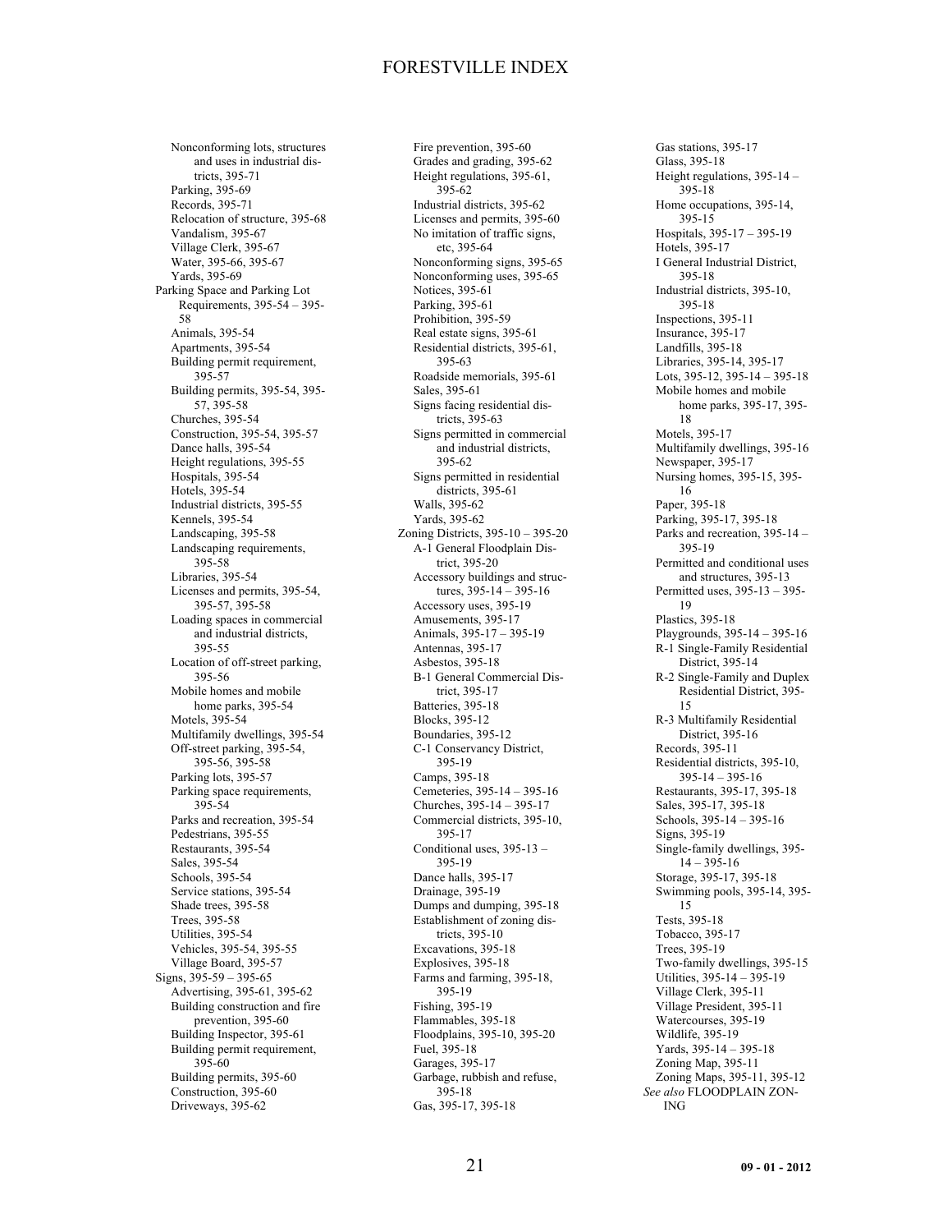Nonconforming lots, structures and uses in industrial districts, 395-71 Parking, 395-69 Records, 395-71 Relocation of structure, 395-68 Vandalism, 395-67 Village Clerk, 395-67 Water, 395-66, 395-67 Yards, 395-69 Parking Space and Parking Lot Requirements, 395-54 – 395- 58 Animals, 395-54 Apartments, 395-54 Building permit requirement, 395-57 Building permits, 395-54, 395- 57, 395-58 Churches, 395-54 Construction, 395-54, 395-57 Dance halls, 395-54 Height regulations, 395-55 Hospitals, 395-54 Hotels, 395-54 Industrial districts, 395-55 Kennels, 395-54 Landscaping, 395-58 Landscaping requirements, 395-58 Libraries, 395-54 Licenses and permits, 395-54, 395-57, 395-58 Loading spaces in commercial and industrial districts, 395-55 Location of off-street parking, 395-56 Mobile homes and mobile home parks, 395-54 Motels, 395-54 Multifamily dwellings, 395-54 Off-street parking, 395-54, 395-56, 395-58 Parking lots, 395-57 Parking space requirements, 395-54 Parks and recreation, 395-54 Pedestrians, 395-55 Restaurants, 395-54 Sales, 395-54 Schools, 395-54 Service stations, 395-54 Shade trees, 395-58 Trees, 395-58 Utilities, 395-54 Vehicles, 395-54, 395-55 Village Board, 395-57 Signs, 395-59 – 395-65 Advertising, 395-61, 395-62 Building construction and fire prevention, 395-60 Building Inspector, 395-61 Building permit requirement, 395-60 Building permits, 395-60 Construction, 395-60 Driveways, 395-62

Fire prevention, 395-60 Grades and grading, 395-62 Height regulations, 395-61, 395-62 Industrial districts, 395-62 Licenses and permits, 395-60 No imitation of traffic signs, etc, 395-64 Nonconforming signs, 395-65 Nonconforming uses, 395-65 Notices, 395-61 Parking, 395-61 Prohibition, 395-59 Real estate signs, 395-61 Residential districts, 395-61, 395-63 Roadside memorials, 395-61 Sales, 395-61 Signs facing residential districts, 395-63 Signs permitted in commercial and industrial districts, 395-62 Signs permitted in residential districts, 395-61 Walls, 395-62 Yards, 395-62 Zoning Districts, 395-10 – 395-20 A-1 General Floodplain District, 395-20 Accessory buildings and structures, 395-14 – 395-16 Accessory uses, 395-19 Amusements, 395-17 Animals, 395-17 – 395-19 Antennas, 395-17 Asbestos, 395-18 B-1 General Commercial District, 395-17 Batteries, 395-18 Blocks, 395-12 Boundaries, 395-12 C-1 Conservancy District, 395-19 Camps, 395-18 Cemeteries, 395-14 – 395-16 Churches, 395-14 – 395-17 Commercial districts, 395-10, 395-17 Conditional uses, 395-13 – 395-19 Dance halls, 395-17 Drainage, 395-19 Dumps and dumping, 395-18 Establishment of zoning districts, 395-10 Excavations, 395-18 Explosives, 395-18 Farms and farming, 395-18, 395-19 Fishing, 395-19 Flammables, 395-18 Floodplains, 395-10, 395-20 Fuel, 395-18 Garages, 395-17 Garbage, rubbish and refuse, 395-18 Gas, 395-17, 395-18

Gas stations, 395-17 Glass, 395-18 Height regulations, 395-14 – 395-18 Home occupations, 395-14, 395-15 Hospitals, 395-17 – 395-19 Hotels, 395-17 I General Industrial District, 395-18 Industrial districts, 395-10, 395-18 Inspections, 395-11 Insurance, 395-17 Landfills, 395-18 Libraries, 395-14, 395-17 Lots, 395-12, 395-14 – 395-18 Mobile homes and mobile home parks, 395-17, 395- 18 Motels, 395-17 Multifamily dwellings, 395-16 Newspaper, 395-17 Nursing homes, 395-15, 395- 16 Paper, 395-18 Parking, 395-17, 395-18 Parks and recreation, 395-14 – 395-19 Permitted and conditional uses and structures, 395-13 Permitted uses, 395-13 – 395- 19 Plastics, 395-18 Playgrounds, 395-14 – 395-16 R-1 Single-Family Residential District, 395-14 R-2 Single-Family and Duplex Residential District, 395- 15 R-3 Multifamily Residential District, 395-16 Records, 395-11 Residential districts, 395-10, 395-14 – 395-16 Restaurants, 395-17, 395-18 Sales, 395-17, 395-18 Schools, 395-14 – 395-16 Signs, 395-19 Single-family dwellings, 395-  $14 - 395 - 16$ Storage, 395-17, 395-18 Swimming pools, 395-14, 395- 15 Tests, 395-18 Tobacco, 395-17 Trees, 395-19 Two-family dwellings, 395-15 Utilities, 395-14 – 395-19 Village Clerk, 395-11 Village President, 395-11 Watercourses, 395-19 Wildlife, 395-19 Yards, 395-14 – 395-18 Zoning Map, 395-11 Zoning Maps, 395-11, 395-12 *See also* FLOODPLAIN ZON-ING